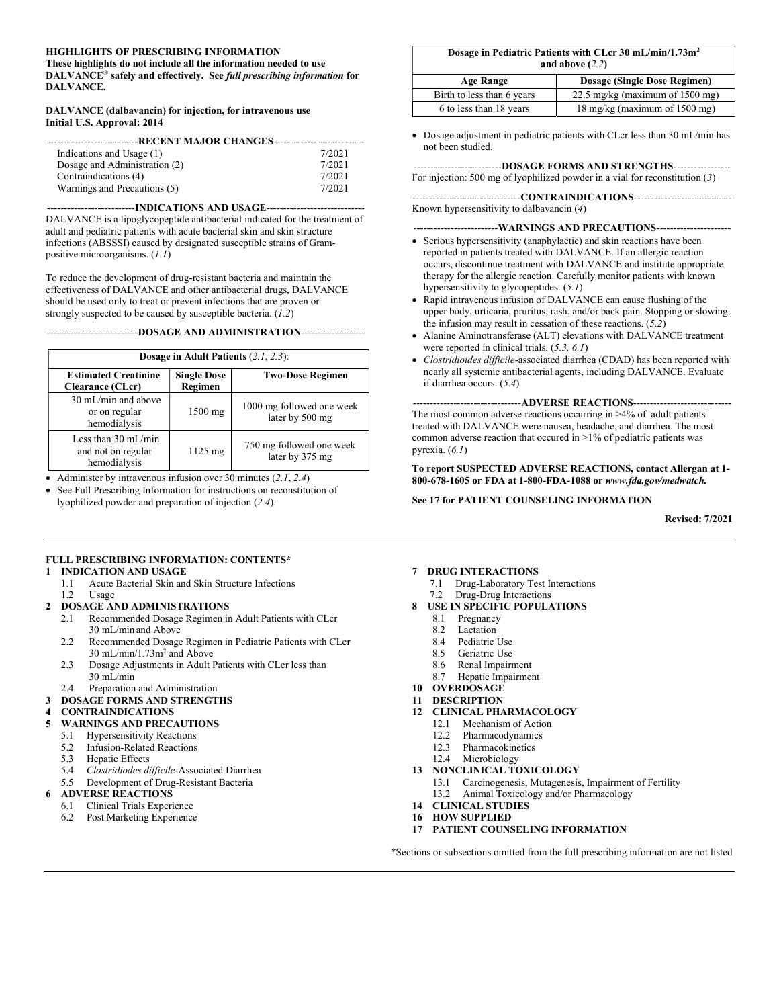#### HIGHLIGHTS OF PRESCRIBING INFORMATION

These highlights do not include all the information needed to use DALVANCE<sup>®</sup> safely and effectively. See full prescribing information for DALVANCE.

#### DALVANCE (dalbavancin) for injection, for intravenous use Initial U.S. Approval: 2014

| ----------------RECENT MAJOR CHANGES- |        |  |  |
|---------------------------------------|--------|--|--|
| Indications and Usage (1)             | 7/2021 |  |  |
| Dosage and Administration (2)         | 7/2021 |  |  |
| Contraindications (4)                 | 7/2021 |  |  |
| Warnings and Precautions (5)          | 7/2021 |  |  |

--------------------------INDICATIONS AND USAGE----------------------------- DALVANCE is a lipoglycopeptide antibacterial indicated for the treatment of adult and pediatric patients with acute bacterial skin and skin structure infections (ABSSSI) caused by designated susceptible strains of Grampositive microorganisms. (1.1)

To reduce the development of drug-resistant bacteria and maintain the effectiveness of DALVANCE and other antibacterial drugs, DALVANCE should be used only to treat or prevent infections that are proven or strongly suspected to be caused by susceptible bacteria.  $(1.2)$ 

---------------------------DOSAGE AND ADMINISTRATION-------------------

| Dosage in Adult Patients $(2.1, 2.3)$ :                                                 |                   |                                              |  |  |
|-----------------------------------------------------------------------------------------|-------------------|----------------------------------------------|--|--|
| <b>Single Dose</b><br><b>Estimated Creatinine</b><br>Regimen<br><b>Clearance (CLcr)</b> |                   | <b>Two-Dose Regimen</b>                      |  |  |
| $30 \text{ mL/min}$ and above<br>or on regular<br>hemodialysis                          | $1500$ mg         | 1000 mg followed one week<br>later by 500 mg |  |  |
| Less than 30 mL/min<br>and not on regular<br>hemodialysis                               | $1125 \text{ mg}$ | 750 mg followed one week<br>later by 375 mg  |  |  |

• Administer by intravenous infusion over 30 minutes  $(2.1, 2.4)$ 

 See Full Prescribing Information for instructions on reconstitution of lyophilized powder and preparation of injection (2.4).

#### Dosage in Pediatric Patients with CLcr 30 mL/min/1.73m<sup>2</sup> and above (2.2)

| $\frac{1}{2}$                                    |                                   |  |  |
|--------------------------------------------------|-----------------------------------|--|--|
| <b>Dosage (Single Dose Regimen)</b><br>Age Range |                                   |  |  |
| Birth to less than 6 years                       | 22.5 mg/kg (maximum of $1500$ mg) |  |  |
| 6 to less than 18 years                          | 18 mg/kg (maximum of 1500 mg)     |  |  |

 Dosage adjustment in pediatric patients with CLcr less than 30 mL/min has not been studied.

--------------DOSAGE FORMS AND STRENGTHS--------For injection: 500 mg of lyophilized powder in a vial for reconstitution (3)

------------CONTRAINDICATIONS-------------------Known hypersensitivity to dalbavancin (4)

---------WARNINGS AND PRECAUTIONS----------------

- Serious hypersensitivity (anaphylactic) and skin reactions have been reported in patients treated with DALVANCE. If an allergic reaction occurs, discontinue treatment with DALVANCE and institute appropriate therapy for the allergic reaction. Carefully monitor patients with known hypersensitivity to glycopeptides. (5.1)
- Rapid intravenous infusion of DALVANCE can cause flushing of the upper body, urticaria, pruritus, rash, and/or back pain. Stopping or slowing the infusion may result in cessation of these reactions.  $(5.2)$
- Alanine Aminotransferase (ALT) elevations with DALVANCE treatment were reported in clinical trials. (5.3, 6.1)
- Clostridioides difficile-associated diarrhea (CDAD) has been reported with nearly all systemic antibacterial agents, including DALVANCE. Evaluate if diarrhea occurs. (5.4)

#### --------------------------------ADVERSE REACTIONS-----------------------------

The most common adverse reactions occurring in >4% of adult patients treated with DALVANCE were nausea, headache, and diarrhea. The most common adverse reaction that occured in >1% of pediatric patients was pyrexia.  $(6.1)$ 

To report SUSPECTED ADVERSE REACTIONS, contact Allergan at 1- 800-678-1605 or FDA at 1-800-FDA-1088 or www.fda.gov/medwatch.

#### See 17 for PATIENT COUNSELING INFORMATION

Revised: 7/2021

#### FULL PRESCRIBING INFORMATION: CONTENTS\*

- 1 INDICATION AND USAGE
- 1.1 Acute Bacterial Skin and Skin Structure Infections 1.2 Usage

#### 2 DOSAGE AND ADMINISTRATIONS

- 2.1 Recommended Dosage Regimen in Adult Patients with CLcr 30 mL/min and Above
- 2.2 Recommended Dosage Regimen in Pediatric Patients with CLcr  $30 \text{ mL/min}/1.73 \text{m}^2$  and Above
	- 2.3 Dosage Adjustments in Adult Patients with CLcr less than
	- $30 \text{ mL/min}$
	- 2.4 Preparation and Administration
- 3 DOSAGE FORMS AND STRENGTHS

#### **CONTRAINDICATIONS**

- 5 WARNINGS AND PRECAUTIONS
	- 5.1 Hypersensitivity Reactions<br>5.2 Infusion-Related Reactions
	- 5.2 Infusion-Related Reactions
	- 5.3 Hepatic Effects
	- 5.4 Clostridiodes difficile-Associated Diarrhea
	- 5.5 Development of Drug-Resistant Bacteria

#### 6 ADVERSE REACTIONS

- 6.1 Clinical Trials Experience
- 6.2 Post Marketing Experience

#### 7 DRUG INTERACTIONS

- 7.1 Drug-Laboratory Test Interactions
- 7.2 Drug-Drug Interactions

#### 8 USE IN SPECIFIC POPULATIONS

- 8.1 Pregnancy
- 8.2 Lactation
- 8.4 Pediatric Use
- 8.5 Geriatric Use
- 8.6 Renal Impairment
- 8.7 Hepatic Impairment
- 10 OVERDOSAGE
- 11 DESCRIPTION
- 12 CLINICAL PHARMACOLOGY
	- 12.1 Mechanism of Action
	- 12.2 Pharmacodynamics<br>12.3 Pharmacokinetics
	- **Pharmacokinetics**
	- 12.4 Microbiology
- 13 NONCLINICAL TOXICOLOGY
	- 13.1 Carcinogenesis, Mutagenesis, Impairment of Fertility
	- 13.2 Animal Toxicology and/or Pharmacology
- 14 CLINICAL STUDIES
- 16 HOW SUPPLIED
- 17 PATIENT COUNSELING INFORMATION

\*Sections or subsections omitted from the full prescribing information are not listed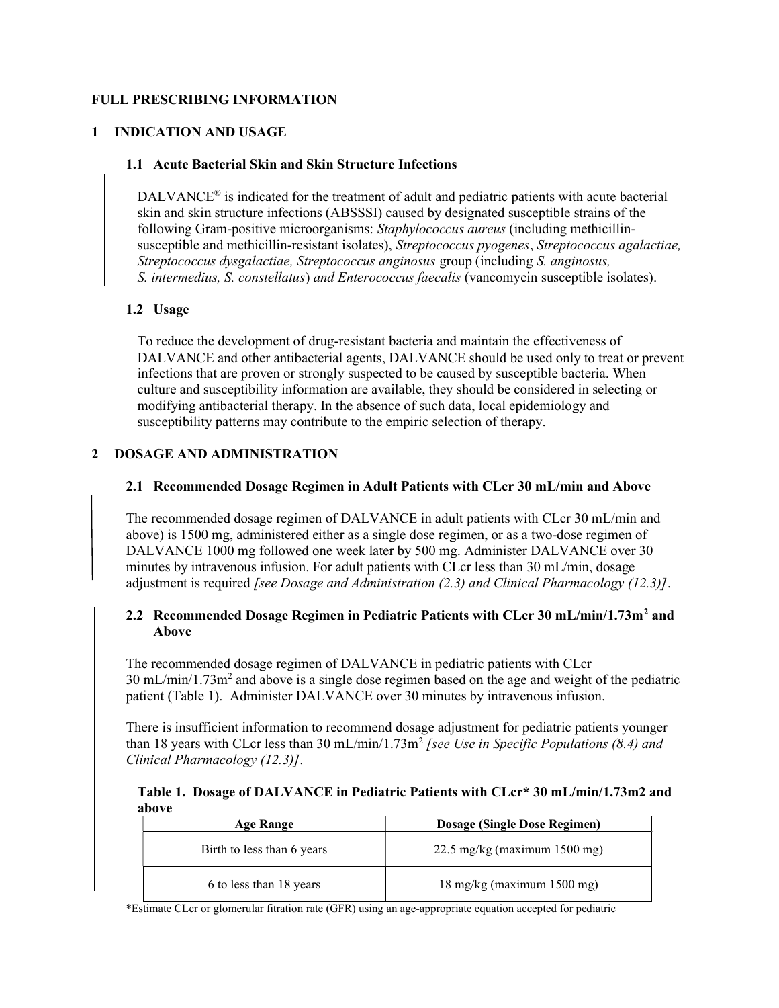# FULL PRESCRIBING INFORMATION

# 1 INDICATION AND USAGE

## 1.1 Acute Bacterial Skin and Skin Structure Infections

DALVANCE<sup>®</sup> is indicated for the treatment of adult and pediatric patients with acute bacterial skin and skin structure infections (ABSSSI) caused by designated susceptible strains of the following Gram-positive microorganisms: Staphylococcus aureus (including methicillinsusceptible and methicillin-resistant isolates), Streptococcus pyogenes, Streptococcus agalactiae, Streptococcus dysgalactiae, Streptococcus anginosus group (including S. anginosus, S. intermedius, S. constellatus) and Enterococcus faecalis (vancomycin susceptible isolates).

## 1.2 Usage

To reduce the development of drug-resistant bacteria and maintain the effectiveness of DALVANCE and other antibacterial agents, DALVANCE should be used only to treat or prevent infections that are proven or strongly suspected to be caused by susceptible bacteria. When culture and susceptibility information are available, they should be considered in selecting or modifying antibacterial therapy. In the absence of such data, local epidemiology and susceptibility patterns may contribute to the empiric selection of therapy.

# 2 DOSAGE AND ADMINISTRATION

# 2.1 Recommended Dosage Regimen in Adult Patients with CLcr 30 mL/min and Above

The recommended dosage regimen of DALVANCE in adult patients with CLcr 30 mL/min and above) is 1500 mg, administered either as a single dose regimen, or as a two-dose regimen of DALVANCE 1000 mg followed one week later by 500 mg. Administer DALVANCE over 30 minutes by intravenous infusion. For adult patients with CLcr less than 30 mL/min, dosage adjustment is required *[see Dosage and Administration (2.3) and Clinical Pharmacology (12.3)]*.

# 2.2 Recommended Dosage Regimen in Pediatric Patients with CLcr 30 mL/min/1.73m<sup>2</sup> and Above

The recommended dosage regimen of DALVANCE in pediatric patients with CLcr  $30 \text{ mL/min}/1.73 \text{m}^2$  and above is a single dose regimen based on the age and weight of the pediatric patient (Table 1). Administer DALVANCE over 30 minutes by intravenous infusion.

There is insufficient information to recommend dosage adjustment for pediatric patients younger than 18 years with CLcr less than 30 mL/min/1.73m<sup>2</sup> [see Use in Specific Populations (8.4) and Clinical Pharmacology (12.3)].

# Table 1. Dosage of DALVANCE in Pediatric Patients with CLcr\* 30 mL/min/1.73m2 and above

| Age Range                  | Dosage (Single Dose Regimen)                    |
|----------------------------|-------------------------------------------------|
| Birth to less than 6 years | 22.5 mg/kg (maximum $1500$ mg)                  |
| 6 to less than 18 years    | $18 \text{ mg/kg}$ (maximum $1500 \text{ mg}$ ) |

\*Estimate CLcr or glomerular fitration rate (GFR) using an age-appropriate equation accepted for pediatric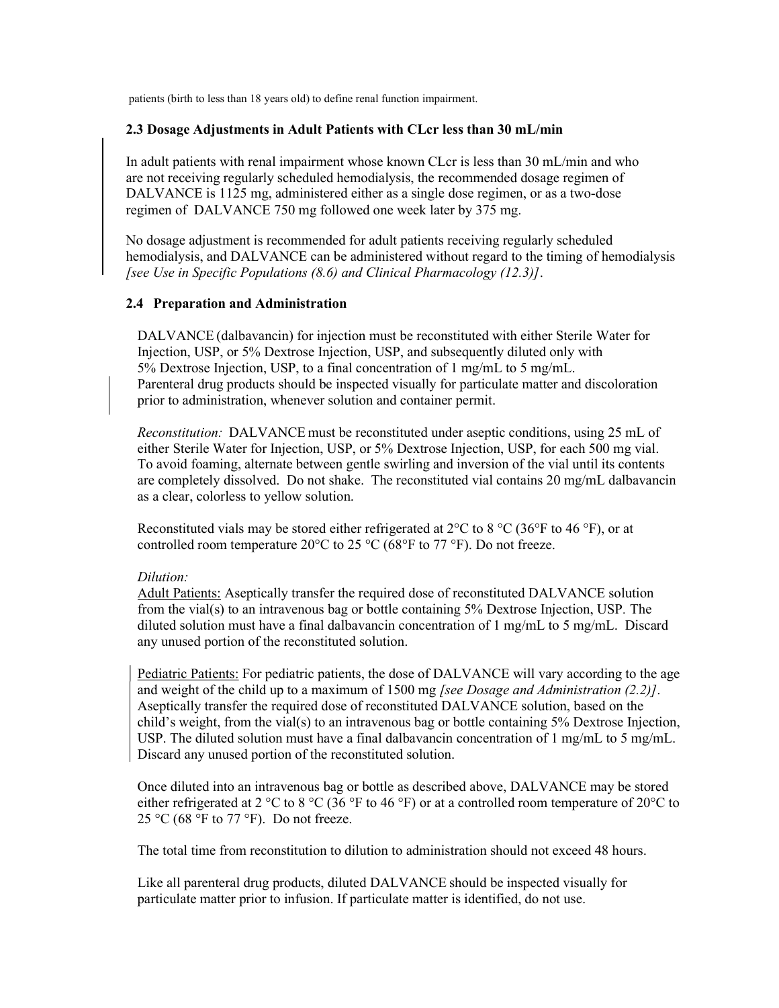patients (birth to less than 18 years old) to define renal function impairment.

# 2.3 Dosage Adjustments in Adult Patients with CLcr less than 30 mL/min

In adult patients with renal impairment whose known CLcr is less than 30 mL/min and who are not receiving regularly scheduled hemodialysis, the recommended dosage regimen of DALVANCE is 1125 mg, administered either as a single dose regimen, or as a two-dose regimen of DALVANCE 750 mg followed one week later by 375 mg.

No dosage adjustment is recommended for adult patients receiving regularly scheduled hemodialysis, and DALVANCE can be administered without regard to the timing of hemodialysis [see Use in Specific Populations (8.6) and Clinical Pharmacology (12.3)].

# 2.4 Preparation and Administration

DALVANCE (dalbavancin) for injection must be reconstituted with either Sterile Water for Injection, USP, or 5% Dextrose Injection, USP, and subsequently diluted only with 5% Dextrose Injection, USP, to a final concentration of 1 mg/mL to 5 mg/mL. Parenteral drug products should be inspected visually for particulate matter and discoloration prior to administration, whenever solution and container permit.

Reconstitution: DALVANCE must be reconstituted under aseptic conditions, using 25 mL of either Sterile Water for Injection, USP, or 5% Dextrose Injection, USP, for each 500 mg vial. To avoid foaming, alternate between gentle swirling and inversion of the vial until its contents are completely dissolved. Do not shake. The reconstituted vial contains 20 mg/mL dalbavancin as a clear, colorless to yellow solution.

Reconstituted vials may be stored either refrigerated at  $2^{\circ}$ C to  $8^{\circ}$ C (36 $^{\circ}$ F to 46 $^{\circ}$ F), or at controlled room temperature 20 $^{\circ}$ C to 25  $^{\circ}$ C (68 $^{\circ}$ F to 77  $^{\circ}$ F). Do not freeze.

# Dilution:

Adult Patients: Aseptically transfer the required dose of reconstituted DALVANCE solution from the vial(s) to an intravenous bag or bottle containing 5% Dextrose Injection, USP. The diluted solution must have a final dalbavancin concentration of 1 mg/mL to 5 mg/mL. Discard any unused portion of the reconstituted solution.

Pediatric Patients: For pediatric patients, the dose of DALVANCE will vary according to the age and weight of the child up to a maximum of 1500 mg *[see Dosage and Administration (2.2)]*. Aseptically transfer the required dose of reconstituted DALVANCE solution, based on the child's weight, from the vial(s) to an intravenous bag or bottle containing 5% Dextrose Injection, USP. The diluted solution must have a final dalbavancin concentration of 1 mg/mL to 5 mg/mL. Discard any unused portion of the reconstituted solution.

Once diluted into an intravenous bag or bottle as described above, DALVANCE may be stored either refrigerated at 2 °C to 8 °C (36 °F to 46 °F) or at a controlled room temperature of 20 °C to 25 °C (68 °F to 77 °F). Do not freeze.

The total time from reconstitution to dilution to administration should not exceed 48 hours.

Like all parenteral drug products, diluted DALVANCE should be inspected visually for particulate matter prior to infusion. If particulate matter is identified, do not use.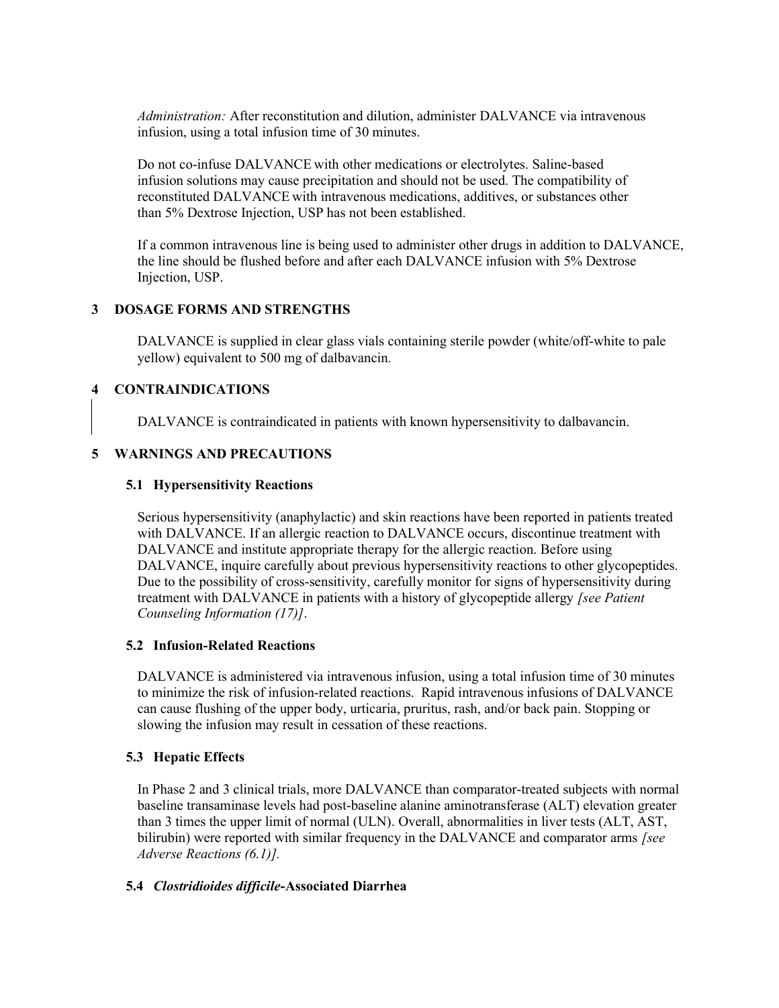Administration: After reconstitution and dilution, administer DALVANCE via intravenous infusion, using a total infusion time of 30 minutes.

Do not co-infuse DALVANCE with other medications or electrolytes. Saline-based infusion solutions may cause precipitation and should not be used. The compatibility of reconstituted DALVANCE with intravenous medications, additives, or substances other than 5% Dextrose Injection, USP has not been established.

If a common intravenous line is being used to administer other drugs in addition to DALVANCE, the line should be flushed before and after each DALVANCE infusion with 5% Dextrose Injection, USP.

## 3 DOSAGE FORMS AND STRENGTHS

DALVANCE is supplied in clear glass vials containing sterile powder (white/off-white to pale yellow) equivalent to 500 mg of dalbavancin.

# 4 CONTRAINDICATIONS

DALVANCE is contraindicated in patients with known hypersensitivity to dalbavancin.

## 5 WARNINGS AND PRECAUTIONS

### 5.1 Hypersensitivity Reactions

Serious hypersensitivity (anaphylactic) and skin reactions have been reported in patients treated with DALVANCE. If an allergic reaction to DALVANCE occurs, discontinue treatment with DALVANCE and institute appropriate therapy for the allergic reaction. Before using DALVANCE, inquire carefully about previous hypersensitivity reactions to other glycopeptides. Due to the possibility of cross-sensitivity, carefully monitor for signs of hypersensitivity during treatment with DALVANCE in patients with a history of glycopeptide allergy [see Patient Counseling Information (17)].

### 5.2 Infusion-Related Reactions

DALVANCE is administered via intravenous infusion, using a total infusion time of 30 minutes to minimize the risk of infusion-related reactions. Rapid intravenous infusions of DALVANCE can cause flushing of the upper body, urticaria, pruritus, rash, and/or back pain. Stopping or slowing the infusion may result in cessation of these reactions.

### 5.3 Hepatic Effects

In Phase 2 and 3 clinical trials, more DALVANCE than comparator-treated subjects with normal baseline transaminase levels had post-baseline alanine aminotransferase (ALT) elevation greater than 3 times the upper limit of normal (ULN). Overall, abnormalities in liver tests (ALT, AST, bilirubin) were reported with similar frequency in the DALVANCE and comparator arms [see Adverse Reactions (6.1)].

### 5.4 Clostridioides difficile-Associated Diarrhea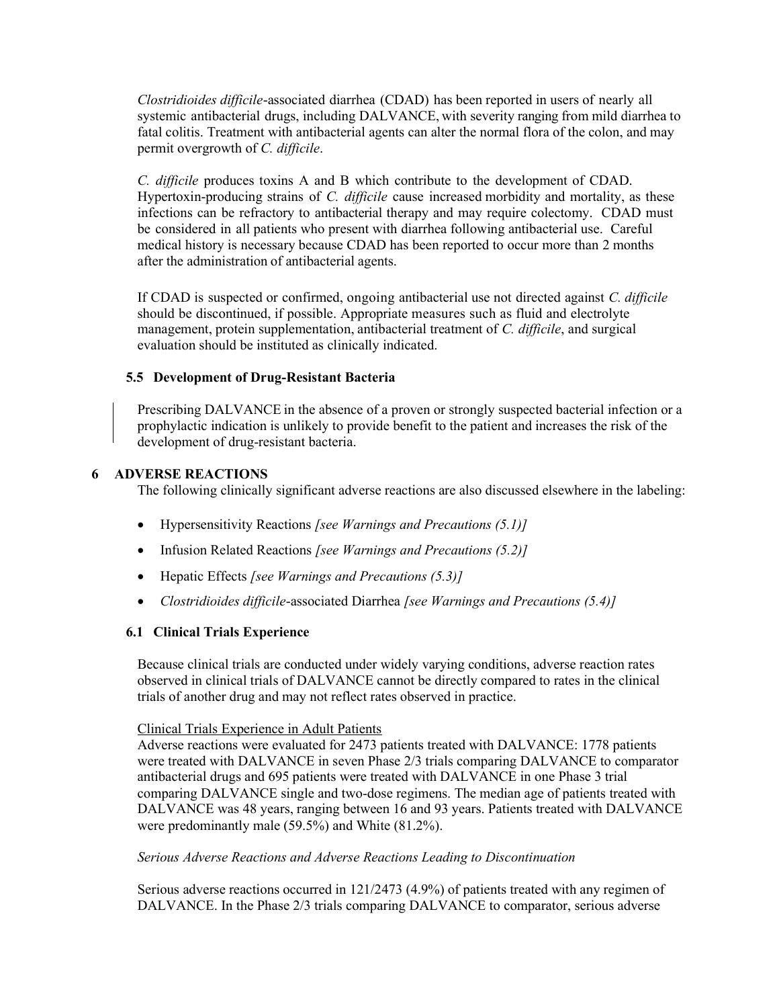Clostridioides difficile-associated diarrhea (CDAD) has been reported in users of nearly all systemic antibacterial drugs, including DALVANCE, with severity ranging from mild diarrhea to fatal colitis. Treatment with antibacterial agents can alter the normal flora of the colon, and may permit overgrowth of C. difficile.

C. difficile produces toxins A and B which contribute to the development of CDAD. Hypertoxin-producing strains of C. difficile cause increased morbidity and mortality, as these infections can be refractory to antibacterial therapy and may require colectomy. CDAD must be considered in all patients who present with diarrhea following antibacterial use. Careful medical history is necessary because CDAD has been reported to occur more than 2 months after the administration of antibacterial agents.

If CDAD is suspected or confirmed, ongoing antibacterial use not directed against C. difficile should be discontinued, if possible. Appropriate measures such as fluid and electrolyte management, protein supplementation, antibacterial treatment of C. difficile, and surgical evaluation should be instituted as clinically indicated.

# 5.5 Development of Drug-Resistant Bacteria

Prescribing DALVANCE in the absence of a proven or strongly suspected bacterial infection or a prophylactic indication is unlikely to provide benefit to the patient and increases the risk of the development of drug-resistant bacteria.

## 6 ADVERSE REACTIONS

The following clinically significant adverse reactions are also discussed elsewhere in the labeling:

- Hypersensitivity Reactions [see Warnings and Precautions (5.1)]
- Infusion Related Reactions *[see Warnings and Precautions*  $(5.2)$ *]*
- Hepatic Effects [see Warnings and Precautions (5.3)]
- Clostridioides difficile-associated Diarrhea [see Warnings and Precautions (5.4)]

### 6.1 Clinical Trials Experience

Because clinical trials are conducted under widely varying conditions, adverse reaction rates observed in clinical trials of DALVANCE cannot be directly compared to rates in the clinical trials of another drug and may not reflect rates observed in practice.

### Clinical Trials Experience in Adult Patients

Adverse reactions were evaluated for 2473 patients treated with DALVANCE: 1778 patients were treated with DALVANCE in seven Phase 2/3 trials comparing DALVANCE to comparator antibacterial drugs and 695 patients were treated with DALVANCE in one Phase 3 trial comparing DALVANCE single and two-dose regimens. The median age of patients treated with DALVANCE was 48 years, ranging between 16 and 93 years. Patients treated with DALVANCE were predominantly male (59.5%) and White (81.2%).

### Serious Adverse Reactions and Adverse Reactions Leading to Discontinuation

Serious adverse reactions occurred in 121/2473 (4.9%) of patients treated with any regimen of DALVANCE. In the Phase 2/3 trials comparing DALVANCE to comparator, serious adverse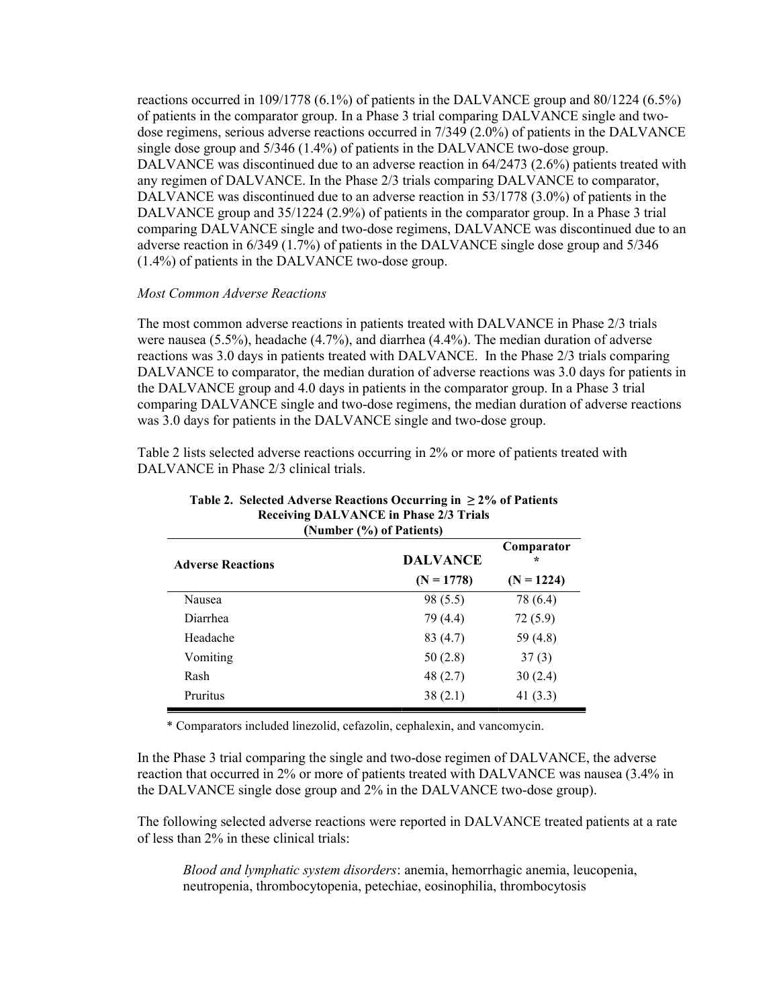reactions occurred in 109/1778 (6.1%) of patients in the DALVANCE group and 80/1224 (6.5%) of patients in the comparator group. In a Phase 3 trial comparing DALVANCE single and twodose regimens, serious adverse reactions occurred in 7/349 (2.0%) of patients in the DALVANCE single dose group and 5/346 (1.4%) of patients in the DALVANCE two-dose group. DALVANCE was discontinued due to an adverse reaction in 64/2473 (2.6%) patients treated with any regimen of DALVANCE. In the Phase 2/3 trials comparing DALVANCE to comparator, DALVANCE was discontinued due to an adverse reaction in 53/1778 (3.0%) of patients in the DALVANCE group and 35/1224 (2.9%) of patients in the comparator group. In a Phase 3 trial comparing DALVANCE single and two-dose regimens, DALVANCE was discontinued due to an adverse reaction in 6/349 (1.7%) of patients in the DALVANCE single dose group and 5/346 (1.4%) of patients in the DALVANCE two-dose group.

## Most Common Adverse Reactions

The most common adverse reactions in patients treated with DALVANCE in Phase 2/3 trials were nausea (5.5%), headache (4.7%), and diarrhea (4.4%). The median duration of adverse reactions was 3.0 days in patients treated with DALVANCE. In the Phase 2/3 trials comparing DALVANCE to comparator, the median duration of adverse reactions was 3.0 days for patients in the DALVANCE group and 4.0 days in patients in the comparator group. In a Phase 3 trial comparing DALVANCE single and two-dose regimens, the median duration of adverse reactions was 3.0 days for patients in the DALVANCE single and two-dose group.

Table 2 lists selected adverse reactions occurring in 2% or more of patients treated with DALVANCE in Phase 2/3 clinical trials.

| (Number (%) of Patients) |                 |                 |  |  |
|--------------------------|-----------------|-----------------|--|--|
| <b>Adverse Reactions</b> | <b>DALVANCE</b> | Comparator<br>÷ |  |  |
|                          | $(N = 1778)$    | $(N = 1224)$    |  |  |
| Nausea                   | 98 (5.5)        | 78 (6.4)        |  |  |
| Diarrhea                 | 79 (4.4)        | 72(5.9)         |  |  |
| Headache                 | 83(4.7)         | 59 $(4.8)$      |  |  |
| Vomiting                 | 50(2.8)         | 37(3)           |  |  |
| Rash                     | 48(2.7)         | 30(2.4)         |  |  |
| Pruritus                 | 38(2.1)         | 41 $(3.3)$      |  |  |

# Table 2. Selected Adverse Reactions Occurring in  $\geq 2\%$  of Patients Receiving DALVANCE in Phase 2/3 Trials

\* Comparators included linezolid, cefazolin, cephalexin, and vancomycin.

In the Phase 3 trial comparing the single and two-dose regimen of DALVANCE, the adverse reaction that occurred in 2% or more of patients treated with DALVANCE was nausea (3.4% in the DALVANCE single dose group and 2% in the DALVANCE two-dose group).

The following selected adverse reactions were reported in DALVANCE treated patients at a rate of less than 2% in these clinical trials:

Blood and lymphatic system disorders: anemia, hemorrhagic anemia, leucopenia, neutropenia, thrombocytopenia, petechiae, eosinophilia, thrombocytosis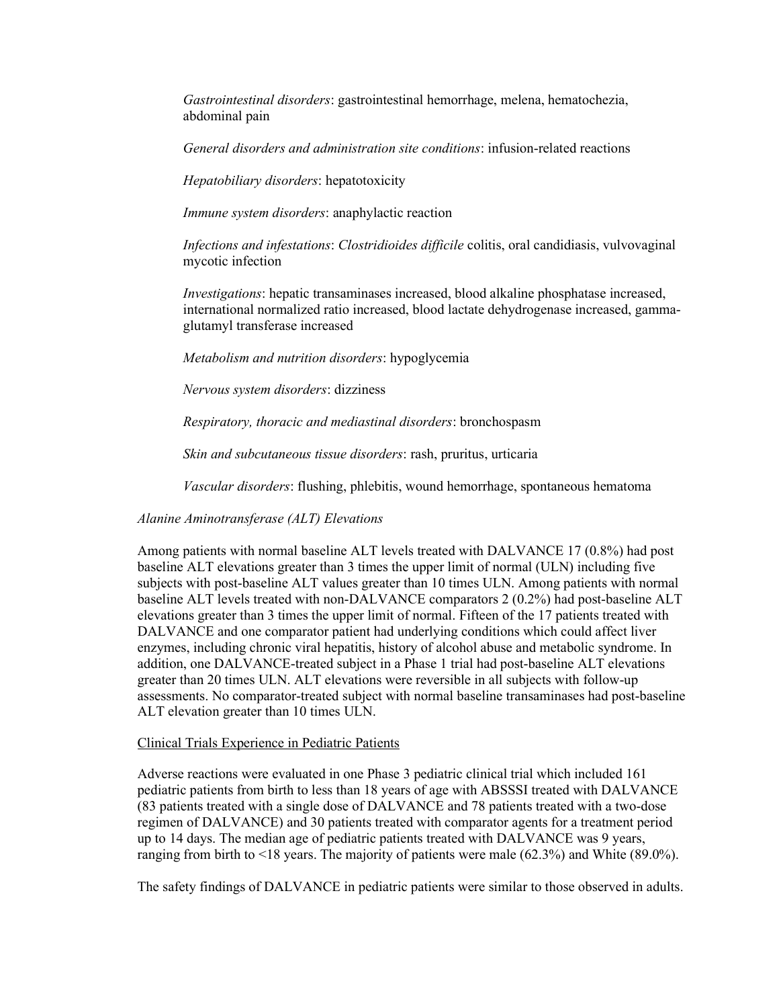Gastrointestinal disorders: gastrointestinal hemorrhage, melena, hematochezia, abdominal pain

General disorders and administration site conditions: infusion-related reactions

Hepatobiliary disorders: hepatotoxicity

Immune system disorders: anaphylactic reaction

Infections and infestations: Clostridioides difficile colitis, oral candidiasis, vulvovaginal mycotic infection

Investigations: hepatic transaminases increased, blood alkaline phosphatase increased, international normalized ratio increased, blood lactate dehydrogenase increased, gammaglutamyl transferase increased

Metabolism and nutrition disorders: hypoglycemia

Nervous system disorders: dizziness

Respiratory, thoracic and mediastinal disorders: bronchospasm

Skin and subcutaneous tissue disorders: rash, pruritus, urticaria

Vascular disorders: flushing, phlebitis, wound hemorrhage, spontaneous hematoma

Alanine Aminotransferase (ALT) Elevations

Among patients with normal baseline ALT levels treated with DALVANCE 17 (0.8%) had post baseline ALT elevations greater than 3 times the upper limit of normal (ULN) including five subjects with post-baseline ALT values greater than 10 times ULN. Among patients with normal baseline ALT levels treated with non-DALVANCE comparators 2 (0.2%) had post-baseline ALT elevations greater than 3 times the upper limit of normal. Fifteen of the 17 patients treated with DALVANCE and one comparator patient had underlying conditions which could affect liver enzymes, including chronic viral hepatitis, history of alcohol abuse and metabolic syndrome. In addition, one DALVANCE-treated subject in a Phase 1 trial had post-baseline ALT elevations greater than 20 times ULN. ALT elevations were reversible in all subjects with follow-up assessments. No comparator-treated subject with normal baseline transaminases had post-baseline ALT elevation greater than 10 times ULN.

#### Clinical Trials Experience in Pediatric Patients

Adverse reactions were evaluated in one Phase 3 pediatric clinical trial which included 161 pediatric patients from birth to less than 18 years of age with ABSSSI treated with DALVANCE (83 patients treated with a single dose of DALVANCE and 78 patients treated with a two-dose regimen of DALVANCE) and 30 patients treated with comparator agents for a treatment period up to 14 days. The median age of pediatric patients treated with DALVANCE was 9 years, ranging from birth to <18 years. The majority of patients were male (62.3%) and White (89.0%).

The safety findings of DALVANCE in pediatric patients were similar to those observed in adults.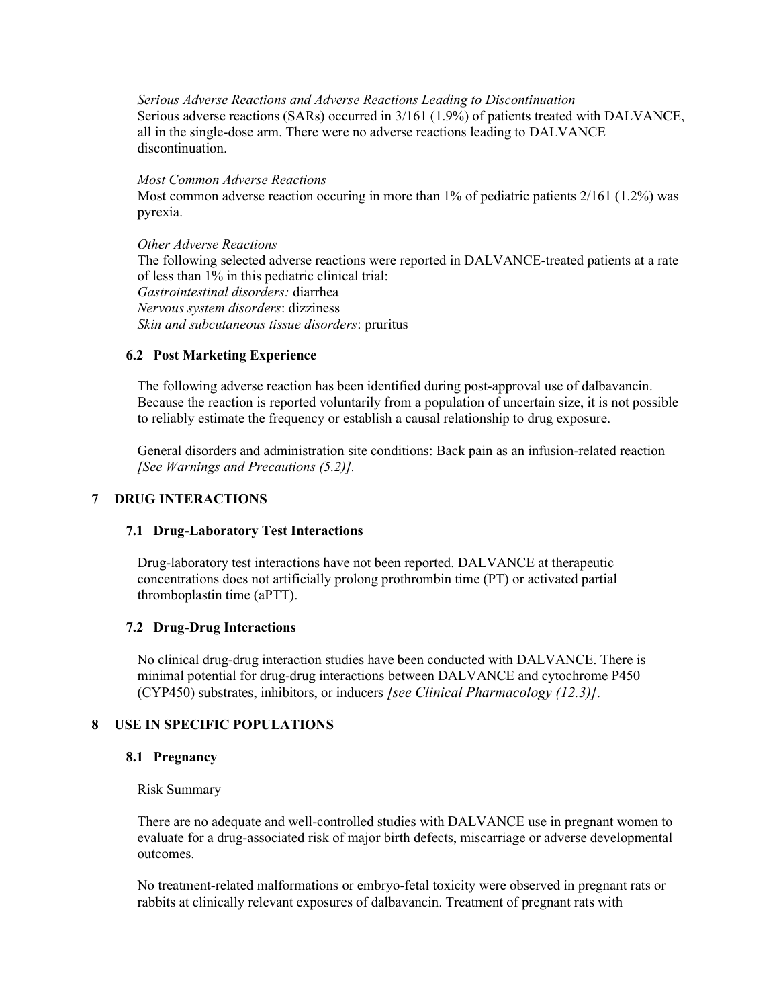Serious Adverse Reactions and Adverse Reactions Leading to Discontinuation Serious adverse reactions (SARs) occurred in 3/161 (1.9%) of patients treated with DALVANCE, all in the single-dose arm. There were no adverse reactions leading to DALVANCE discontinuation.

Most Common Adverse Reactions Most common adverse reaction occuring in more than 1% of pediatric patients 2/161 (1.2%) was pyrexia.

Other Adverse Reactions The following selected adverse reactions were reported in DALVANCE-treated patients at a rate of less than 1% in this pediatric clinical trial: Gastrointestinal disorders: diarrhea Nervous system disorders: dizziness Skin and subcutaneous tissue disorders: pruritus

# 6.2 Post Marketing Experience

The following adverse reaction has been identified during post-approval use of dalbavancin. Because the reaction is reported voluntarily from a population of uncertain size, it is not possible to reliably estimate the frequency or establish a causal relationship to drug exposure.

General disorders and administration site conditions: Back pain as an infusion-related reaction [See Warnings and Precautions (5.2)].

## 7 DRUG INTERACTIONS

### 7.1 Drug-Laboratory Test Interactions

Drug-laboratory test interactions have not been reported. DALVANCE at therapeutic concentrations does not artificially prolong prothrombin time (PT) or activated partial thromboplastin time (aPTT).

### 7.2 Drug-Drug Interactions

No clinical drug-drug interaction studies have been conducted with DALVANCE. There is minimal potential for drug-drug interactions between DALVANCE and cytochrome P450 (CYP450) substrates, inhibitors, or inducers [see Clinical Pharmacology (12.3)].

# 8 USE IN SPECIFIC POPULATIONS

### 8.1 Pregnancy

### Risk Summary

There are no adequate and well-controlled studies with DALVANCE use in pregnant women to evaluate for a drug-associated risk of major birth defects, miscarriage or adverse developmental outcomes.

No treatment-related malformations or embryo-fetal toxicity were observed in pregnant rats or rabbits at clinically relevant exposures of dalbavancin. Treatment of pregnant rats with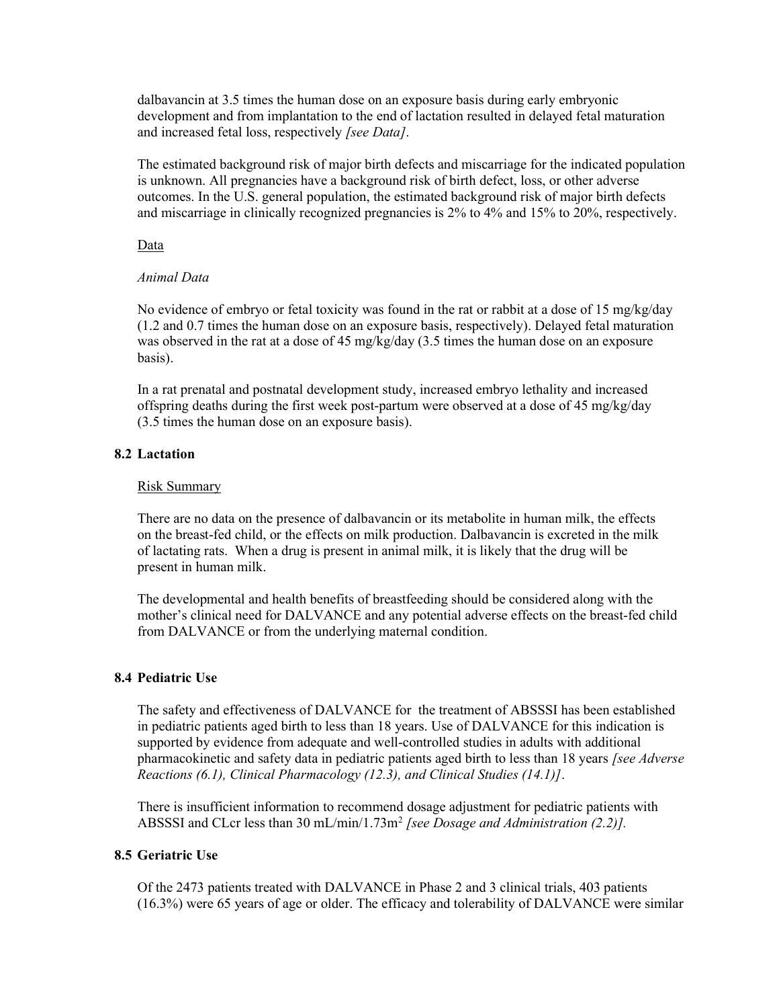dalbavancin at 3.5 times the human dose on an exposure basis during early embryonic development and from implantation to the end of lactation resulted in delayed fetal maturation and increased fetal loss, respectively [see Data].

The estimated background risk of major birth defects and miscarriage for the indicated population is unknown. All pregnancies have a background risk of birth defect, loss, or other adverse outcomes. In the U.S. general population, the estimated background risk of major birth defects and miscarriage in clinically recognized pregnancies is 2% to 4% and 15% to 20%, respectively.

Data

## Animal Data

No evidence of embryo or fetal toxicity was found in the rat or rabbit at a dose of 15 mg/kg/day (1.2 and 0.7 times the human dose on an exposure basis, respectively). Delayed fetal maturation was observed in the rat at a dose of 45 mg/kg/day (3.5 times the human dose on an exposure basis).

In a rat prenatal and postnatal development study, increased embryo lethality and increased offspring deaths during the first week post-partum were observed at a dose of 45 mg/kg/day (3.5 times the human dose on an exposure basis).

# 8.2 Lactation

## Risk Summary

There are no data on the presence of dalbavancin or its metabolite in human milk, the effects on the breast-fed child, or the effects on milk production. Dalbavancin is excreted in the milk of lactating rats. When a drug is present in animal milk, it is likely that the drug will be present in human milk.

The developmental and health benefits of breastfeeding should be considered along with the mother's clinical need for DALVANCE and any potential adverse effects on the breast-fed child from DALVANCE or from the underlying maternal condition.

### 8.4 Pediatric Use

The safety and effectiveness of DALVANCE for the treatment of ABSSSI has been established in pediatric patients aged birth to less than 18 years. Use of DALVANCE for this indication is supported by evidence from adequate and well-controlled studies in adults with additional pharmacokinetic and safety data in pediatric patients aged birth to less than 18 years [see Adverse Reactions (6.1), Clinical Pharmacology (12.3), and Clinical Studies (14.1)].

There is insufficient information to recommend dosage adjustment for pediatric patients with ABSSSI and CLcr less than 30 mL/min/1.73m<sup>2</sup> [see Dosage and Administration (2.2)].

# 8.5 Geriatric Use

Of the 2473 patients treated with DALVANCE in Phase 2 and 3 clinical trials, 403 patients (16.3%) were 65 years of age or older. The efficacy and tolerability of DALVANCE were similar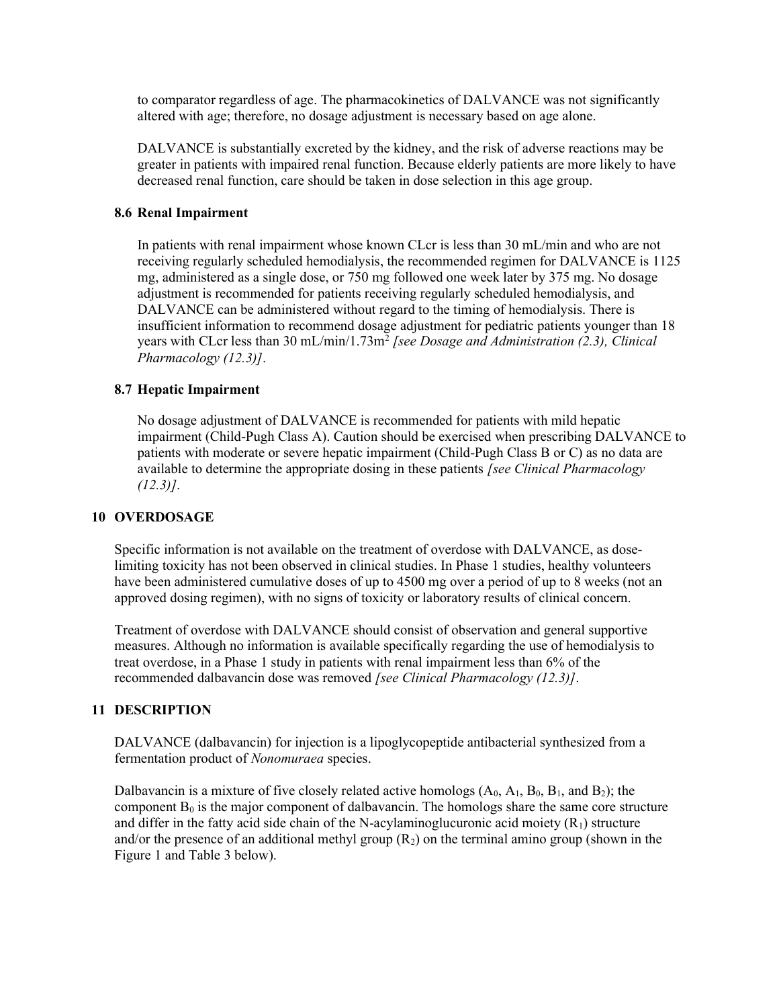to comparator regardless of age. The pharmacokinetics of DALVANCE was not significantly altered with age; therefore, no dosage adjustment is necessary based on age alone.

DALVANCE is substantially excreted by the kidney, and the risk of adverse reactions may be greater in patients with impaired renal function. Because elderly patients are more likely to have decreased renal function, care should be taken in dose selection in this age group.

## 8.6 Renal Impairment

In patients with renal impairment whose known CLcr is less than 30 mL/min and who are not receiving regularly scheduled hemodialysis, the recommended regimen for DALVANCE is 1125 mg, administered as a single dose, or 750 mg followed one week later by 375 mg. No dosage adjustment is recommended for patients receiving regularly scheduled hemodialysis, and DALVANCE can be administered without regard to the timing of hemodialysis. There is insufficient information to recommend dosage adjustment for pediatric patients younger than 18 years with CLcr less than 30 mL/min/1.73m<sup>2</sup> [see Dosage and Administration (2.3), Clinical Pharmacology (12.3)].

## 8.7 Hepatic Impairment

No dosage adjustment of DALVANCE is recommended for patients with mild hepatic impairment (Child-Pugh Class A). Caution should be exercised when prescribing DALVANCE to patients with moderate or severe hepatic impairment (Child-Pugh Class B or C) as no data are available to determine the appropriate dosing in these patients [see Clinical Pharmacology  $(12.3)$ ].

### 10 OVERDOSAGE

Specific information is not available on the treatment of overdose with DALVANCE, as doselimiting toxicity has not been observed in clinical studies. In Phase 1 studies, healthy volunteers have been administered cumulative doses of up to 4500 mg over a period of up to 8 weeks (not an approved dosing regimen), with no signs of toxicity or laboratory results of clinical concern.

Treatment of overdose with DALVANCE should consist of observation and general supportive measures. Although no information is available specifically regarding the use of hemodialysis to treat overdose, in a Phase 1 study in patients with renal impairment less than 6% of the recommended dalbavancin dose was removed [see Clinical Pharmacology (12.3)].

# 11 DESCRIPTION

DALVANCE (dalbavancin) for injection is a lipoglycopeptide antibacterial synthesized from a fermentation product of Nonomuraea species.

Dalbavancin is a mixture of five closely related active homologs  $(A_0, A_1, B_0, B_1, A_1, B_2)$ ; the component  $B_0$  is the major component of dalbavancin. The homologs share the same core structure and differ in the fatty acid side chain of the N-acylaminoglucuronic acid moiety  $(R_1)$  structure and/or the presence of an additional methyl group  $(R_2)$  on the terminal amino group (shown in the Figure 1 and Table 3 below).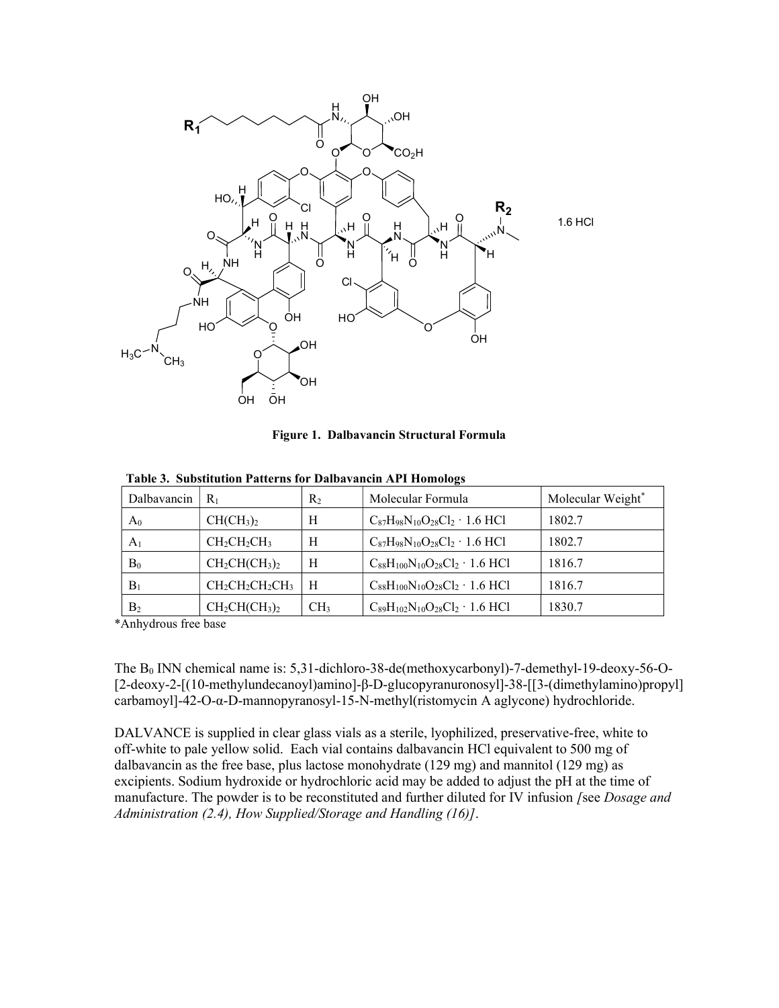

Figure 1. Dalbavancin Structural Formula

| Dalbavancin    | $R_1$                             | $R_2$           | Molecular Formula                             | Molecular Weight* |
|----------------|-----------------------------------|-----------------|-----------------------------------------------|-------------------|
| A <sub>0</sub> | CH(CH <sub>3</sub> ) <sub>2</sub> | Н               | $C_{87}H_{98}N_{10}O_{28}Cl_2 \cdot 1.6$ HCl  | 1802.7            |
| A <sub>1</sub> | $CH_2CH_2CH_3$                    | Н               | $C_{87}H_{98}N_{10}O_{28}Cl_2 \cdot 1.6$ HCl  | 1802.7            |
| $B_0$          | $CH2CH(CH3)2$                     | Н               | $C_{88}H_{100}N_{10}O_{28}Cl_2 \cdot 1.6$ HCl | 1816.7            |
| $B_1$          | $CH_2CH_2CH_2CH_3$                | H               | $C_{88}H_{100}N_{10}O_{28}Cl_2 \cdot 1.6$ HCl | 1816.7            |
| B <sub>2</sub> | $CH2CH(CH3)2$                     | CH <sub>3</sub> | $C_{89}H_{102}N_{10}O_{28}Cl_2 \cdot 1.6$ HCl | 1830.7            |

Table 3. Substitution Patterns for Dalbavancin API Homologs

\*Anhydrous free base

The  $B_0$  INN chemical name is: 5,31-dichloro-38-de(methoxycarbonyl)-7-demethyl-19-deoxy-56-O-[2-deoxy-2-[(10-methylundecanoyl)amino]-β-D-glucopyranuronosyl]-38-[[3-(dimethylamino)propyl] carbamoyl]-42-O-α-D-mannopyranosyl-15-N-methyl(ristomycin A aglycone) hydrochloride.

DALVANCE is supplied in clear glass vials as a sterile, lyophilized, preservative-free, white to off-white to pale yellow solid. Each vial contains dalbavancin HCl equivalent to 500 mg of dalbavancin as the free base, plus lactose monohydrate  $(129 \text{ mg})$  and mannitol  $(129 \text{ mg})$  as excipients. Sodium hydroxide or hydrochloric acid may be added to adjust the pH at the time of manufacture. The powder is to be reconstituted and further diluted for IV infusion [see Dosage and Administration (2.4), How Supplied/Storage and Handling (16)].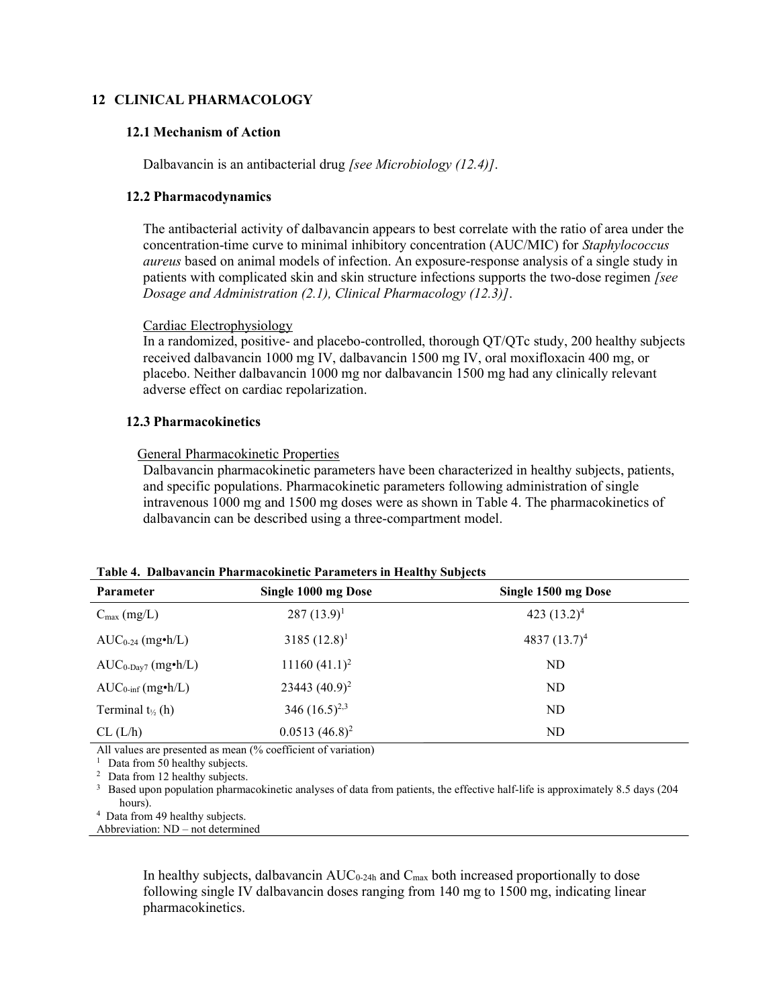## 12 CLINICAL PHARMACOLOGY

### 12.1 Mechanism of Action

Dalbavancin is an antibacterial drug *[see Microbiology (12.4)]*.

#### 12.2 Pharmacodynamics

The antibacterial activity of dalbavancin appears to best correlate with the ratio of area under the concentration-time curve to minimal inhibitory concentration (AUC/MIC) for Staphylococcus aureus based on animal models of infection. An exposure-response analysis of a single study in patients with complicated skin and skin structure infections supports the two-dose regimen [see Dosage and Administration (2.1), Clinical Pharmacology (12.3)].

#### Cardiac Electrophysiology

In a randomized, positive- and placebo-controlled, thorough QT/QTc study, 200 healthy subjects received dalbavancin 1000 mg IV, dalbavancin 1500 mg IV, oral moxifloxacin 400 mg, or placebo. Neither dalbavancin 1000 mg nor dalbavancin 1500 mg had any clinically relevant adverse effect on cardiac repolarization.

## 12.3 Pharmacokinetics

#### General Pharmacokinetic Properties

Dalbavancin pharmacokinetic parameters have been characterized in healthy subjects, patients, and specific populations. Pharmacokinetic parameters following administration of single intravenous 1000 mg and 1500 mg doses were as shown in Table 4. The pharmacokinetics of dalbavancin can be described using a three-compartment model.

| <b>Parameter</b>              | Single 1000 mg Dose | Single 1500 mg Dose |
|-------------------------------|---------------------|---------------------|
| $C_{\text{max}}$ (mg/L)       | $287 (13.9)^1$      | 423 $(13.2)^4$      |
| $AUC_{0-24}$ (mg•h/L)         | $3185 (12.8)^1$     | 4837 $(13.7)^4$     |
| $AUC_{0-Day7}$ (mg•h/L)       | $11160 (41.1)^2$    | ND                  |
| $AUC_{0\text{-inf}}$ (mg•h/L) | 23443 $(40.9)^2$    | ND                  |
| Terminal $t_{\frac{1}{2}}(h)$ | 346 $(16.5)^{2,3}$  | ND                  |
| CL (L/h)                      | $0.0513(46.8)^2$    | ND                  |

All values are presented as mean (% coefficient of variation)

<sup>1</sup> Data from  $50$  healthy subjects.

<sup>2</sup> Data from 12 healthy subjects.

<sup>3</sup> Based upon population pharmacokinetic analyses of data from patients, the effective half-life is approximately 8.5 days (204) hours).

4 Data from 49 healthy subjects.

Abbreviation: ND – not determined

In healthy subjects, dalbavancin  $AUC_{0.24h}$  and  $C_{max}$  both increased proportionally to dose following single IV dalbavancin doses ranging from 140 mg to 1500 mg, indicating linear pharmacokinetics.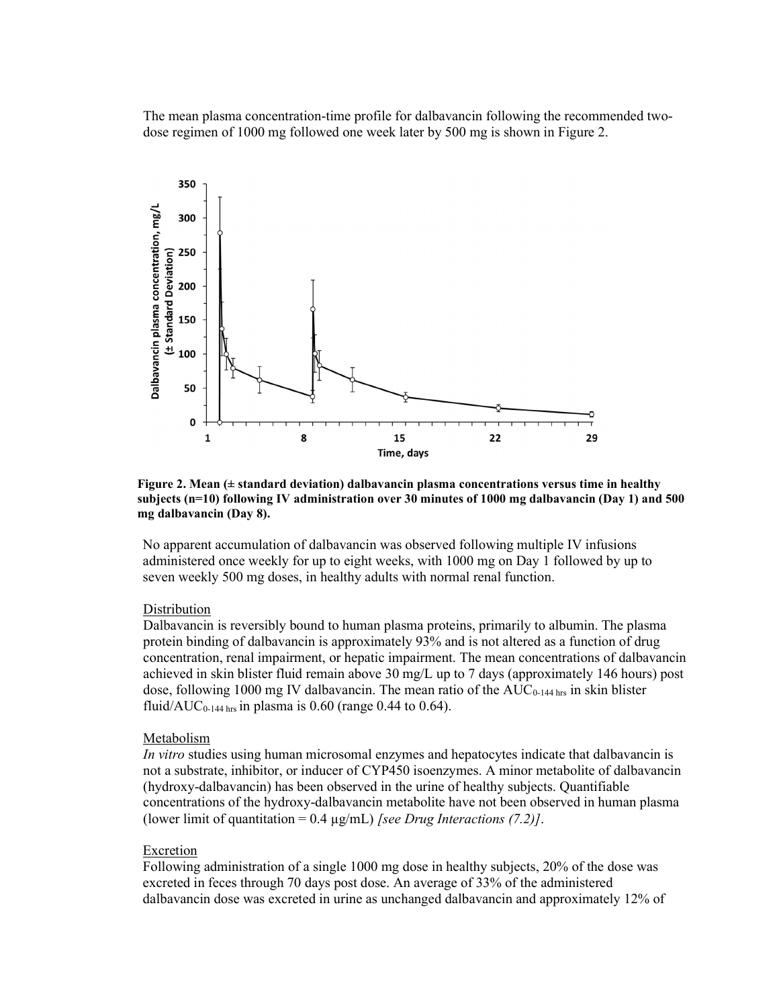The mean plasma concentration-time profile for dalbavancin following the recommended twodose regimen of 1000 mg followed one week later by 500 mg is shown in Figure 2.



Figure 2. Mean  $(± standard deviation)$  dalbavancin plasma concentrations versus time in healthy subjects (n=10) following IV administration over 30 minutes of 1000 mg dalbavancin (Day 1) and 500 mg dalbavancin (Day 8).

No apparent accumulation of dalbavancin was observed following multiple IV infusions administered once weekly for up to eight weeks, with 1000 mg on Day 1 followed by up to seven weekly 500 mg doses, in healthy adults with normal renal function.

## Distribution

Dalbavancin is reversibly bound to human plasma proteins, primarily to albumin. The plasma protein binding of dalbavancin is approximately 93% and is not altered as a function of drug concentration, renal impairment, or hepatic impairment. The mean concentrations of dalbavancin achieved in skin blister fluid remain above 30 mg/L up to 7 days (approximately 146 hours) post dose, following 1000 mg IV dalbavancin. The mean ratio of the AUC<sub>0-144 hrs</sub> in skin blister fluid/AUC<sub>0-144 hrs</sub> in plasma is 0.60 (range 0.44 to 0.64).

# Metabolism

In vitro studies using human microsomal enzymes and hepatocytes indicate that dalbavancin is not a substrate, inhibitor, or inducer of CYP450 isoenzymes. A minor metabolite of dalbavancin (hydroxy-dalbavancin) has been observed in the urine of healthy subjects. Quantifiable concentrations of the hydroxy-dalbavancin metabolite have not been observed in human plasma (lower limit of quantitation =  $0.4 \mu g/mL$ ) [see Drug Interactions (7.2)].

#### Excretion

Following administration of a single 1000 mg dose in healthy subjects, 20% of the dose was excreted in feces through 70 days post dose. An average of 33% of the administered dalbavancin dose was excreted in urine as unchanged dalbavancin and approximately 12% of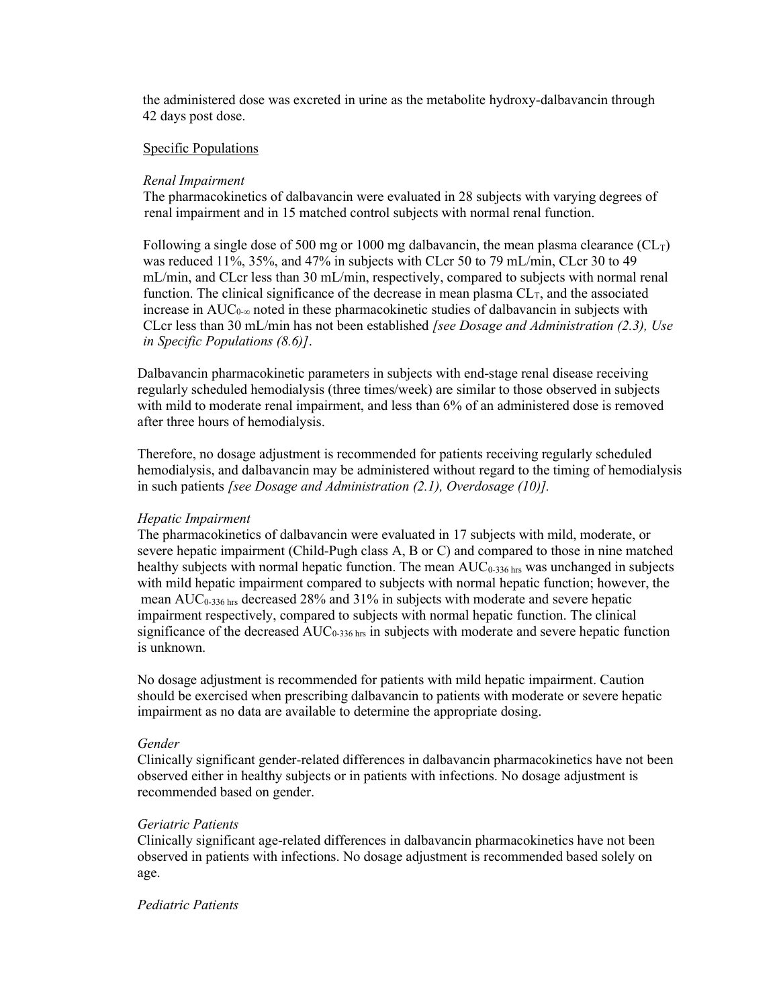the administered dose was excreted in urine as the metabolite hydroxy-dalbavancin through 42 days post dose.

#### Specific Populations

#### Renal Impairment

The pharmacokinetics of dalbavancin were evaluated in 28 subjects with varying degrees of renal impairment and in 15 matched control subjects with normal renal function.

Following a single dose of 500 mg or 1000 mg dalbavancin, the mean plasma clearance  $(CL_T)$ was reduced 11%, 35%, and 47% in subjects with CLcr 50 to 79 mL/min, CLcr 30 to 49 mL/min, and CLcr less than 30 mL/min, respectively, compared to subjects with normal renal function. The clinical significance of the decrease in mean plasma  $CL<sub>T</sub>$ , and the associated increase in  $AUC_{0-\infty}$  noted in these pharmacokinetic studies of dalbavancin in subjects with CLcr less than 30 mL/min has not been established *[see Dosage and Administration (2.3)*, *Use* in Specific Populations (8.6)].

Dalbavancin pharmacokinetic parameters in subjects with end-stage renal disease receiving regularly scheduled hemodialysis (three times/week) are similar to those observed in subjects with mild to moderate renal impairment, and less than 6% of an administered dose is removed after three hours of hemodialysis.

Therefore, no dosage adjustment is recommended for patients receiving regularly scheduled hemodialysis, and dalbavancin may be administered without regard to the timing of hemodialysis in such patients *[see Dosage and Administration*  $(2.1)$ *, Overdosage (10)]*.

## Hepatic Impairment

The pharmacokinetics of dalbavancin were evaluated in 17 subjects with mild, moderate, or severe hepatic impairment (Child-Pugh class A, B or C) and compared to those in nine matched healthy subjects with normal hepatic function. The mean  $AUC_{0.336 \text{ hrs}}$  was unchanged in subjects with mild hepatic impairment compared to subjects with normal hepatic function; however, the mean  $AUC_{0.336 \text{ hrs}}$  decreased 28% and 31% in subjects with moderate and severe hepatic impairment respectively, compared to subjects with normal hepatic function. The clinical significance of the decreased  $AUC_{0.336}$  hrs in subjects with moderate and severe hepatic function is unknown.

No dosage adjustment is recommended for patients with mild hepatic impairment. Caution should be exercised when prescribing dalbavancin to patients with moderate or severe hepatic impairment as no data are available to determine the appropriate dosing.

#### Gender

Clinically significant gender-related differences in dalbavancin pharmacokinetics have not been observed either in healthy subjects or in patients with infections. No dosage adjustment is recommended based on gender.

#### Geriatric Patients

Clinically significant age-related differences in dalbavancin pharmacokinetics have not been observed in patients with infections. No dosage adjustment is recommended based solely on age.

### Pediatric Patients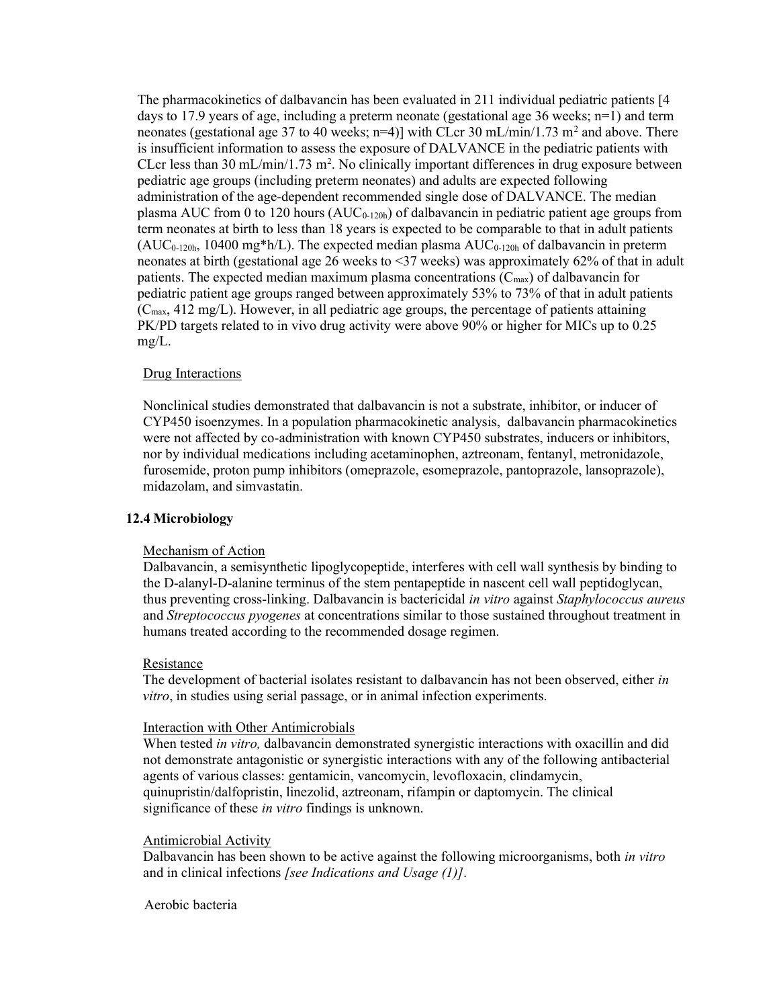The pharmacokinetics of dalbavancin has been evaluated in 211 individual pediatric patients [4 days to 17.9 years of age, including a preterm neonate (gestational age 36 weeks; n=1) and term neonates (gestational age 37 to 40 weeks; n=4)] with CLcr 30 mL/min/1.73 m<sup>2</sup> and above. There is insufficient information to assess the exposure of DALVANCE in the pediatric patients with CLcr less than  $30 \text{ mL/min}/1.73 \text{ m}^2$ . No clinically important differences in drug exposure between pediatric age groups (including preterm neonates) and adults are expected following administration of the age-dependent recommended single dose of DALVANCE. The median plasma AUC from 0 to 120 hours  $(AUC_{0-120h})$  of dalbavancin in pediatric patient age groups from term neonates at birth to less than 18 years is expected to be comparable to that in adult patients  $(AUC_{0-120h}, 10400$  mg\*h/L). The expected median plasma  $AUC_{0-120h}$  of dalbavancin in preterm neonates at birth (gestational age 26 weeks to <37 weeks) was approximately 62% of that in adult patients. The expected median maximum plasma concentrations  $(C_{\text{max}})$  of dalbavancin for pediatric patient age groups ranged between approximately 53% to 73% of that in adult patients  $(C_{\text{max}}, 412 \text{ mg/L})$ . However, in all pediatric age groups, the percentage of patients attaining PK/PD targets related to in vivo drug activity were above 90% or higher for MICs up to 0.25 mg/L.

## Drug Interactions

Nonclinical studies demonstrated that dalbavancin is not a substrate, inhibitor, or inducer of CYP450 isoenzymes. In a population pharmacokinetic analysis, dalbavancin pharmacokinetics were not affected by co-administration with known CYP450 substrates, inducers or inhibitors, nor by individual medications including acetaminophen, aztreonam, fentanyl, metronidazole, furosemide, proton pump inhibitors (omeprazole, esomeprazole, pantoprazole, lansoprazole), midazolam, and simvastatin.

### 12.4 Microbiology

### Mechanism of Action

Dalbavancin, a semisynthetic lipoglycopeptide, interferes with cell wall synthesis by binding to the D-alanyl-D-alanine terminus of the stem pentapeptide in nascent cell wall peptidoglycan, thus preventing cross-linking. Dalbavancin is bactericidal in vitro against Staphylococcus aureus and Streptococcus pyogenes at concentrations similar to those sustained throughout treatment in humans treated according to the recommended dosage regimen.

### Resistance

The development of bacterial isolates resistant to dalbavancin has not been observed, either in vitro, in studies using serial passage, or in animal infection experiments.

### Interaction with Other Antimicrobials

When tested *in vitro*, dalbavancin demonstrated synergistic interactions with oxacillin and did not demonstrate antagonistic or synergistic interactions with any of the following antibacterial agents of various classes: gentamicin, vancomycin, levofloxacin, clindamycin, quinupristin/dalfopristin, linezolid, aztreonam, rifampin or daptomycin. The clinical significance of these *in vitro* findings is unknown.

## Antimicrobial Activity

Dalbavancin has been shown to be active against the following microorganisms, both *in vitro* and in clinical infections [see Indications and Usage (1)].

### Aerobic bacteria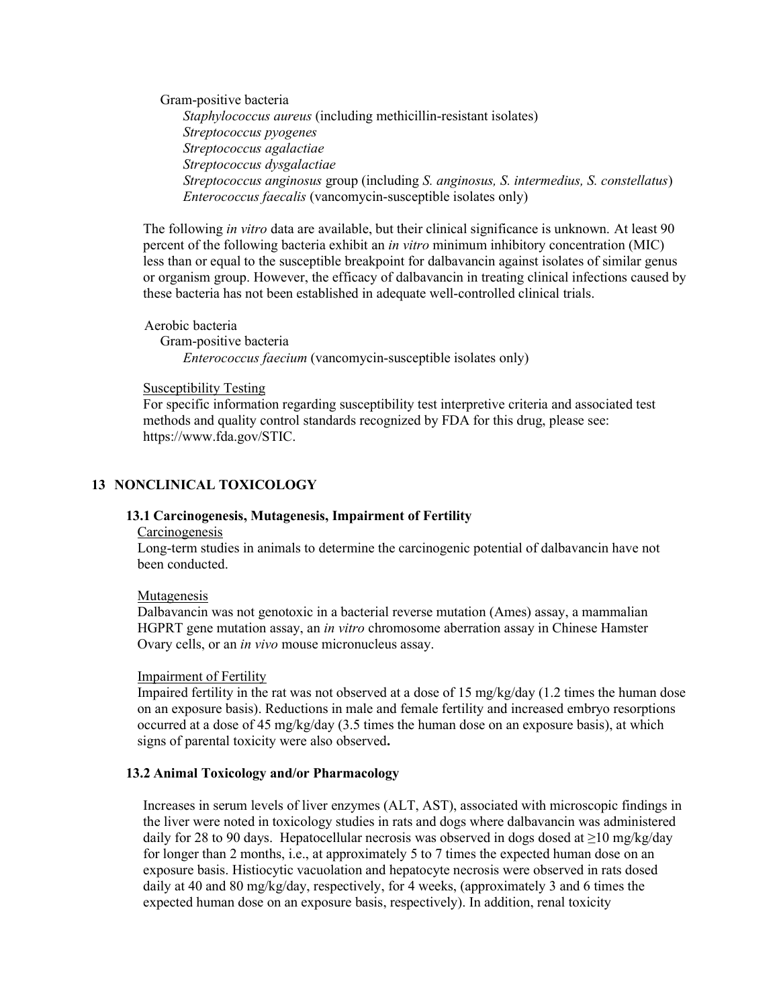Gram-positive bacteria Staphylococcus aureus (including methicillin-resistant isolates) Streptococcus pyogenes Streptococcus agalactiae Streptococcus dysgalactiae Streptococcus anginosus group (including S. anginosus, S. intermedius, S. constellatus) Enterococcus faecalis (vancomycin-susceptible isolates only)

The following *in vitro* data are available, but their clinical significance is unknown. At least 90 percent of the following bacteria exhibit an in vitro minimum inhibitory concentration (MIC) less than or equal to the susceptible breakpoint for dalbavancin against isolates of similar genus or organism group. However, the efficacy of dalbavancin in treating clinical infections caused by these bacteria has not been established in adequate well-controlled clinical trials.

 Aerobic bacteria Gram-positive bacteria Enterococcus faecium (vancomycin-susceptible isolates only)

### Susceptibility Testing

For specific information regarding susceptibility test interpretive criteria and associated test methods and quality control standards recognized by FDA for this drug, please see: https://www.fda.gov/STIC.

# 13 NONCLINICAL TOXICOLOGY

#### 13.1 Carcinogenesis, Mutagenesis, Impairment of Fertility

#### **Carcinogenesis**

Long-term studies in animals to determine the carcinogenic potential of dalbavancin have not been conducted.

#### Mutagenesis

Dalbavancin was not genotoxic in a bacterial reverse mutation (Ames) assay, a mammalian HGPRT gene mutation assay, an in vitro chromosome aberration assay in Chinese Hamster Ovary cells, or an in vivo mouse micronucleus assay.

#### Impairment of Fertility

Impaired fertility in the rat was not observed at a dose of 15 mg/kg/day  $(1.2 \text{ times the human dose})$ on an exposure basis). Reductions in male and female fertility and increased embryo resorptions occurred at a dose of 45 mg/kg/day (3.5 times the human dose on an exposure basis), at which signs of parental toxicity were also observed.

## 13.2 Animal Toxicology and/or Pharmacology

Increases in serum levels of liver enzymes (ALT, AST), associated with microscopic findings in the liver were noted in toxicology studies in rats and dogs where dalbavancin was administered daily for 28 to 90 days. Hepatocellular necrosis was observed in dogs dosed at  $\geq$ 10 mg/kg/day for longer than 2 months, i.e., at approximately 5 to 7 times the expected human dose on an exposure basis. Histiocytic vacuolation and hepatocyte necrosis were observed in rats dosed daily at 40 and 80 mg/kg/day, respectively, for 4 weeks, (approximately 3 and 6 times the expected human dose on an exposure basis, respectively). In addition, renal toxicity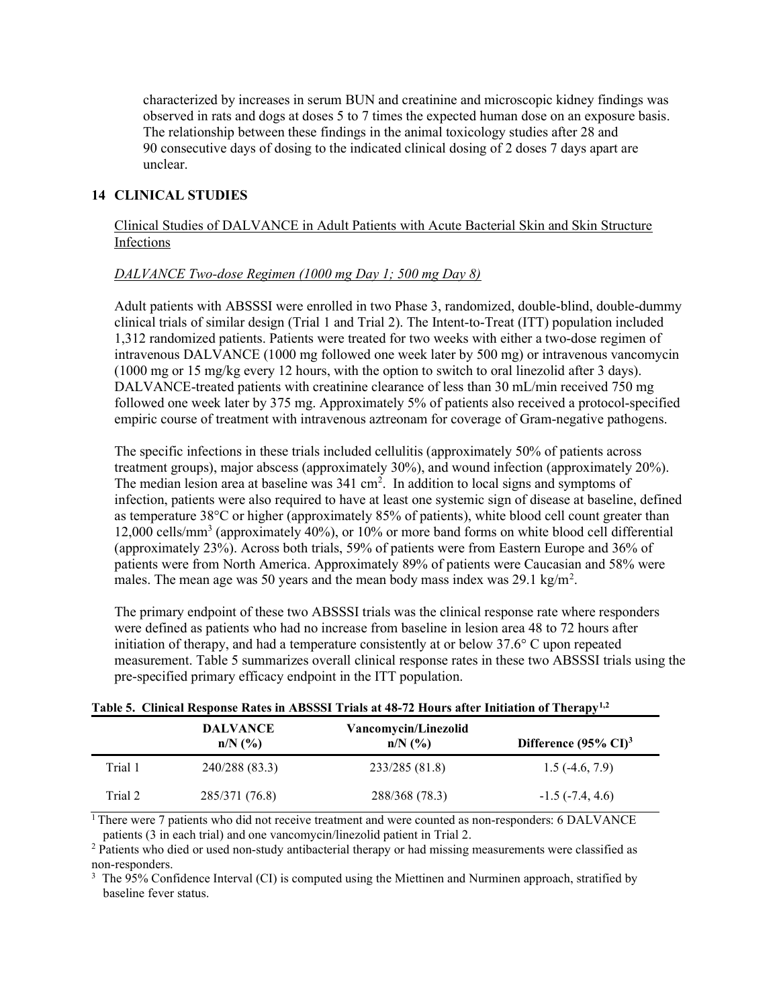characterized by increases in serum BUN and creatinine and microscopic kidney findings was observed in rats and dogs at doses 5 to 7 times the expected human dose on an exposure basis. The relationship between these findings in the animal toxicology studies after 28 and 90 consecutive days of dosing to the indicated clinical dosing of 2 doses 7 days apart are unclear.

## 14 CLINICAL STUDIES

Clinical Studies of DALVANCE in Adult Patients with Acute Bacterial Skin and Skin Structure Infections

## DALVANCE Two-dose Regimen (1000 mg Day 1; 500 mg Day 8)

Adult patients with ABSSSI were enrolled in two Phase 3, randomized, double-blind, double-dummy clinical trials of similar design (Trial 1 and Trial 2). The Intent-to-Treat (ITT) population included 1,312 randomized patients. Patients were treated for two weeks with either a two-dose regimen of intravenous DALVANCE (1000 mg followed one week later by 500 mg) or intravenous vancomycin (1000 mg or 15 mg/kg every 12 hours, with the option to switch to oral linezolid after 3 days). DALVANCE-treated patients with creatinine clearance of less than 30 mL/min received 750 mg followed one week later by 375 mg. Approximately 5% of patients also received a protocol-specified empiric course of treatment with intravenous aztreonam for coverage of Gram-negative pathogens.

The specific infections in these trials included cellulitis (approximately 50% of patients across treatment groups), major abscess (approximately 30%), and wound infection (approximately 20%). The median lesion area at baseline was  $341 \text{ cm}^2$ . In addition to local signs and symptoms of infection, patients were also required to have at least one systemic sign of disease at baseline, defined as temperature 38°C or higher (approximately 85% of patients), white blood cell count greater than 12,000 cells/mm<sup>3</sup> (approximately 40%), or 10% or more band forms on white blood cell differential (approximately 23%). Across both trials, 59% of patients were from Eastern Europe and 36% of patients were from North America. Approximately 89% of patients were Caucasian and 58% were males. The mean age was 50 years and the mean body mass index was 29.1 kg/m<sup>2</sup>.

The primary endpoint of these two ABSSSI trials was the clinical response rate where responders were defined as patients who had no increase from baseline in lesion area 48 to 72 hours after initiation of therapy, and had a temperature consistently at or below 37.6° C upon repeated measurement. Table 5 summarizes overall clinical response rates in these two ABSSSI trials using the pre-specified primary efficacy endpoint in the ITT population.

|         | Table 5. Chincal Response Rates in Abbodi 1 Fials at 40-72 Hours after Initiation of Therapy?"<br><b>DALVANCE</b> |                                   |                                  |
|---------|-------------------------------------------------------------------------------------------------------------------|-----------------------------------|----------------------------------|
|         | $n/N$ (%)                                                                                                         | Vancomycin/Linezolid<br>$n/N$ (%) | Difference $(95\% \text{ CI})^3$ |
| Trial 1 | 240/288 (83.3)                                                                                                    | 233/285 (81.8)                    | $1.5(-4.6, 7.9)$                 |
| Trial 2 | 285/371 (76.8)                                                                                                    | 288/368 (78.3)                    | $-1.5$ ( $-7.4, 4.6$ )           |

|  |  | Table 5. Clinical Response Rates in ABSSSI Trials at 48-72 Hours after Initiation of Therapy <sup>1,2</sup> |  |  |  |  |  |
|--|--|-------------------------------------------------------------------------------------------------------------|--|--|--|--|--|
|--|--|-------------------------------------------------------------------------------------------------------------|--|--|--|--|--|

<sup>1</sup> There were 7 patients who did not receive treatment and were counted as non-responders: 6 DALVANCE patients (3 in each trial) and one vancomycin/linezolid patient in Trial 2.

<sup>2</sup> Patients who died or used non-study antibacterial therapy or had missing measurements were classified as non-responders.

<sup>3</sup> The 95% Confidence Interval (CI) is computed using the Miettinen and Nurminen approach, stratified by baseline fever status.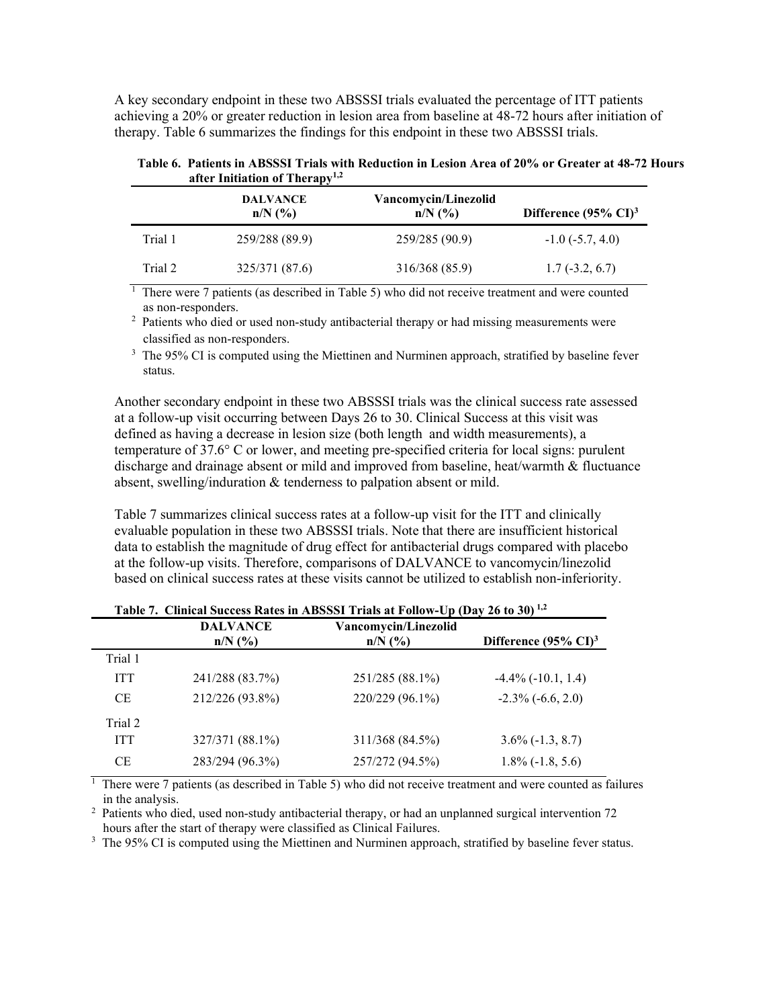A key secondary endpoint in these two ABSSSI trials evaluated the percentage of ITT patients achieving a 20% or greater reduction in lesion area from baseline at 48-72 hours after initiation of therapy. Table 6 summarizes the findings for this endpoint in these two ABSSSI trials.

| Table 6. Patients in ABSSSI Trials with Reduction in Lesion Area of 20% or Greater at 48-72 Hours |  |
|---------------------------------------------------------------------------------------------------|--|
| after Initiation of Therapy <sup>1,2</sup>                                                        |  |

|         | <b>DALVANCE</b><br>$n/N$ $(\%)$ | Vancomycin/Linezolid<br>$n/N$ $(\% )$ | Difference $(95\% \text{ CI})^3$ |
|---------|---------------------------------|---------------------------------------|----------------------------------|
| Trial 1 | 259/288 (89.9)                  | 259/285 (90.9)                        | $-1.0$ ( $-5.7, 4.0$ )           |
| Trial 2 | 325/371 (87.6)                  | 316/368 (85.9)                        | $1.7(-3.2, 6.7)$                 |

 $\frac{1}{1}$  There were 7 patients (as described in Table 5) who did not receive treatment and were counted as non-responders.

<sup>2</sup> Patients who died or used non-study antibacterial therapy or had missing measurements were classified as non-responders.

 $3$  The 95% CI is computed using the Miettinen and Nurminen approach, stratified by baseline fever status.

Another secondary endpoint in these two ABSSSI trials was the clinical success rate assessed at a follow-up visit occurring between Days 26 to 30. Clinical Success at this visit was defined as having a decrease in lesion size (both length and width measurements), a temperature of 37.6° C or lower, and meeting pre-specified criteria for local signs: purulent discharge and drainage absent or mild and improved from baseline, heat/warmth & fluctuance absent, swelling/induration & tenderness to palpation absent or mild.

Table 7 summarizes clinical success rates at a follow-up visit for the ITT and clinically evaluable population in these two ABSSSI trials. Note that there are insufficient historical data to establish the magnitude of drug effect for antibacterial drugs compared with placebo at the follow-up visits. Therefore, comparisons of DALVANCE to vancomycin/linezolid based on clinical success rates at these visits cannot be utilized to establish non-inferiority.

| Table $\ell$ . Chincal Success Nates in Abssist Trials at Fullow-Up (Day 20 to 30) |                              |                                   |                                  |  |
|------------------------------------------------------------------------------------|------------------------------|-----------------------------------|----------------------------------|--|
|                                                                                    | <b>DALVANCE</b><br>$n/N$ (%) | Vancomycin/Linezolid<br>$n/N$ (%) | Difference $(95\% \text{ CI})^3$ |  |
| Trial 1                                                                            |                              |                                   |                                  |  |
| <b>ITT</b>                                                                         | 241/288 (83.7%)              | 251/285 (88.1%)                   | $-4.4\%$ ( $-10.1$ , 1.4)        |  |
| <b>CE</b>                                                                          | 212/226 (93.8%)              | 220/229 (96.1%)                   | $-2.3\%$ ( $-6.6, 2.0$ )         |  |
| Trial 2                                                                            |                              |                                   |                                  |  |
| <b>ITT</b>                                                                         | 327/371 (88.1%)              | 311/368 (84.5%)                   | $3.6\%(-1.3, 8.7)$               |  |
| <b>CE</b>                                                                          | 283/294 (96.3%)              | 257/272 (94.5%)                   | $1.8\%$ (-1.8, 5.6)              |  |

| Table 7. Clinical Success Rates in ABSSSI Trials at Follow-Up (Day 26 to 30) <sup>1,2</sup> |  |
|---------------------------------------------------------------------------------------------|--|
|---------------------------------------------------------------------------------------------|--|

 $\frac{1}{1}$  There were 7 patients (as described in Table 5) who did not receive treatment and were counted as failures in the analysis.

<sup>2</sup> Patients who died, used non-study antibacterial therapy, or had an unplanned surgical intervention 72 hours after the start of therapy were classified as Clinical Failures.

<sup>3</sup> The 95% CI is computed using the Miettinen and Nurminen approach, stratified by baseline fever status.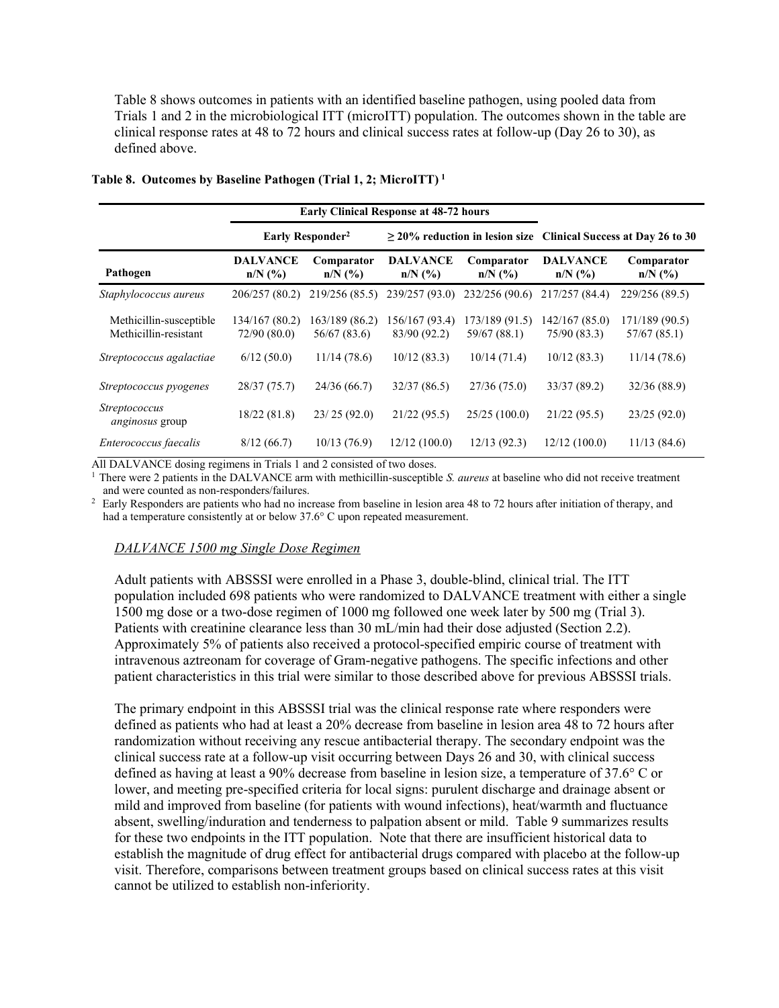Table 8 shows outcomes in patients with an identified baseline pathogen, using pooled data from Trials 1 and 2 in the microbiological ITT (microITT) population. The outcomes shown in the table are clinical response rates at 48 to 72 hours and clinical success rates at follow-up (Day 26 to 30), as defined above.

|                                                  |                               | <b>Early Clinical Response at 48-72 hours</b> |                                |                                |                                                                      |                                |
|--------------------------------------------------|-------------------------------|-----------------------------------------------|--------------------------------|--------------------------------|----------------------------------------------------------------------|--------------------------------|
|                                                  | Early Responder <sup>2</sup>  |                                               |                                |                                | $\geq$ 20% reduction in lesion size Clinical Success at Day 26 to 30 |                                |
| Pathogen                                         | <b>DALVANCE</b><br>$n/N$ (%)  | Comparator<br>$n/N$ (%)                       | <b>DALVANCE</b><br>$n/N$ (%)   | Comparator<br>$n/N$ (%)        | <b>DALVANCE</b><br>$n/N$ (%)                                         | Comparator<br>$n/N$ (%)        |
| Staphylococcus aureus                            | 206/257 (80.2)                | 219/256 (85.5)                                |                                | 239/257 (93.0) 232/256 (90.6)  | 217/257 (84.4)                                                       | 229/256 (89.5)                 |
| Methicillin-susceptible<br>Methicillin-resistant | 134/167 (80.2)<br>72/90(80.0) | 163/189 (86.2)<br>56/67 (83.6)                | 156/167 (93.4)<br>83/90 (92.2) | 173/189 (91.5)<br>59/67 (88.1) | 142/167(85.0)<br>75/90 (83.3)                                        | 171/189 (90.5)<br>57/67 (85.1) |
| Streptococcus agalactiae                         | 6/12(50.0)                    | 11/14(78.6)                                   | 10/12(83.3)                    | 10/14(71.4)                    | 10/12(83.3)                                                          | 11/14(78.6)                    |
| Streptococcus pyogenes                           | 28/37 (75.7)                  | 24/36(66.7)                                   | 32/37(86.5)                    | 27/36(75.0)                    | 33/37 (89.2)                                                         | 32/36 (88.9)                   |
| <i>Streptococcus</i><br>anginosus group          | 18/22(81.8)                   | 23/25(92.0)                                   | 21/22(95.5)                    | 25/25(100.0)                   | 21/22(95.5)                                                          | 23/25(92.0)                    |
| Enterococcus faecalis                            | 8/12(66.7)                    | 10/13(76.9)                                   | 12/12(100.0)                   | 12/13(92.3)                    | 12/12(100.0)                                                         | 11/13(84.6)                    |

#### Table 8. Outcomes by Baseline Pathogen (Trial 1, 2; MicroITT)<sup>1</sup>

All DALVANCE dosing regimens in Trials 1 and 2 consisted of two doses.

<sup>1</sup> There were 2 patients in the DALVANCE arm with methicillin-susceptible S. *aureus* at baseline who did not receive treatment and were counted as non-responders/failures.

<sup>2</sup> Early Responders are patients who had no increase from baseline in lesion area 48 to 72 hours after initiation of therapy, and had a temperature consistently at or below 37.6° C upon repeated measurement.

### DALVANCE 1500 mg Single Dose Regimen

Adult patients with ABSSSI were enrolled in a Phase 3, double-blind, clinical trial. The ITT population included 698 patients who were randomized to DALVANCE treatment with either a single 1500 mg dose or a two-dose regimen of 1000 mg followed one week later by 500 mg (Trial 3). Patients with creatinine clearance less than 30 mL/min had their dose adjusted (Section 2.2). Approximately 5% of patients also received a protocol-specified empiric course of treatment with intravenous aztreonam for coverage of Gram-negative pathogens. The specific infections and other patient characteristics in this trial were similar to those described above for previous ABSSSI trials.

The primary endpoint in this ABSSSI trial was the clinical response rate where responders were defined as patients who had at least a 20% decrease from baseline in lesion area 48 to 72 hours after randomization without receiving any rescue antibacterial therapy. The secondary endpoint was the clinical success rate at a follow-up visit occurring between Days 26 and 30, with clinical success defined as having at least a 90% decrease from baseline in lesion size, a temperature of 37.6° C or lower, and meeting pre-specified criteria for local signs: purulent discharge and drainage absent or mild and improved from baseline (for patients with wound infections), heat/warmth and fluctuance absent, swelling/induration and tenderness to palpation absent or mild. Table 9 summarizes results for these two endpoints in the ITT population. Note that there are insufficient historical data to establish the magnitude of drug effect for antibacterial drugs compared with placebo at the follow-up visit. Therefore, comparisons between treatment groups based on clinical success rates at this visit cannot be utilized to establish non-inferiority.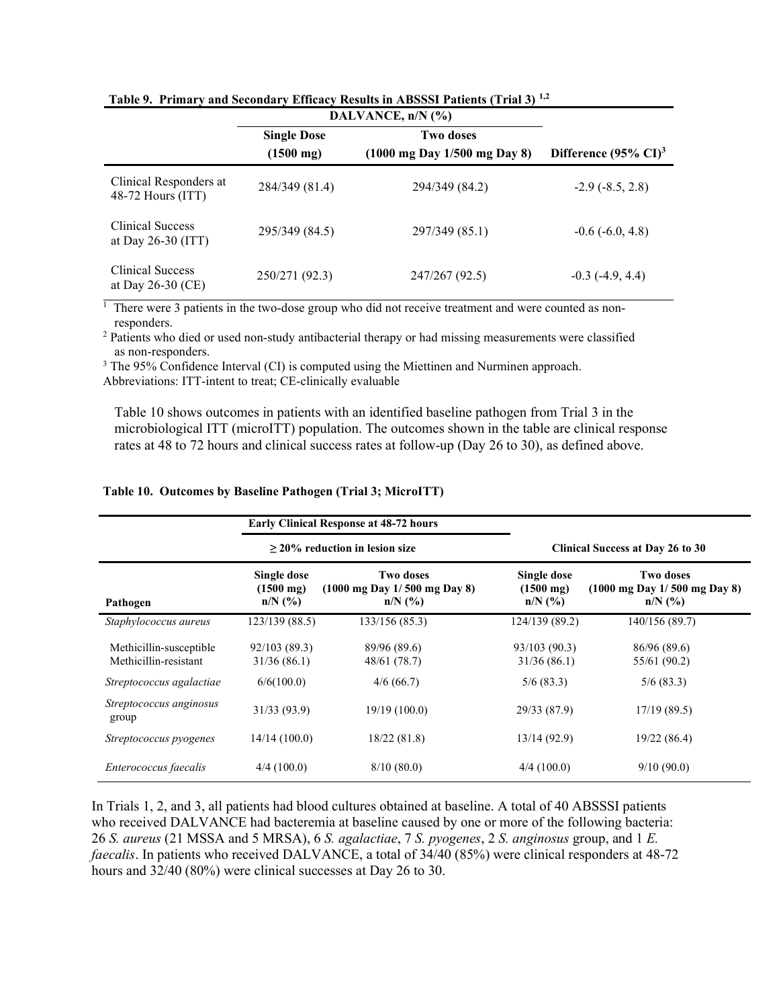|                                               | DALVANCE, n/N (%)   |                                                  |                                  |
|-----------------------------------------------|---------------------|--------------------------------------------------|----------------------------------|
|                                               | <b>Single Dose</b>  | Two doses                                        |                                  |
|                                               | $(1500 \text{ mg})$ | $(1000 \text{ mg Day } 1/500 \text{ mg Day } 8)$ | Difference $(95\% \text{ CI})^3$ |
| Clinical Responders at<br>$48-72$ Hours (ITT) | 284/349 (81.4)      | 294/349 (84.2)                                   | $-2.9$ ( $-8.5, 2.8$ )           |
| Clinical Success<br>at Day $26-30$ (ITT)      | 295/349 (84.5)      | 297/349 (85.1)                                   | $-0.6$ ( $-6.0, 4.8$ )           |
| Clinical Success<br>at Day $26-30$ (CE)       | 250/271 (92.3)      | 247/267 (92.5)                                   | $-0.3$ ( $-4.9, 4.4$ )           |

Table 9. Primary and Secondary Efficacy Results in ABSSSI Patients (Trial 3) 1,2

 $1$  There were 3 patients in the two-dose group who did not receive treatment and were counted as nonresponders.

<sup>2</sup> Patients who died or used non-study antibacterial therapy or had missing measurements were classified as non-responders.

<sup>3</sup> The 95% Confidence Interval (CI) is computed using the Miettinen and Nurminen approach.

Abbreviations: ITT-intent to treat; CE-clinically evaluable

Table 10 shows outcomes in patients with an identified baseline pathogen from Trial 3 in the microbiological ITT (microITT) population. The outcomes shown in the table are clinical response rates at 48 to 72 hours and clinical success rates at follow-up (Day 26 to 30), as defined above.

|                                                  | <b>Early Clinical Response at 48-72 hours</b><br>$>$ 20% reduction in lesion size |                                                        |                                                 |                                                                            |
|--------------------------------------------------|-----------------------------------------------------------------------------------|--------------------------------------------------------|-------------------------------------------------|----------------------------------------------------------------------------|
|                                                  |                                                                                   |                                                        | <b>Clinical Success at Day 26 to 30</b>         |                                                                            |
| Pathogen                                         | Single dose<br>$(1500 \text{ mg})$<br>$n/N$ (%)                                   | Two doses<br>(1000 mg Day 1/500 mg Day 8)<br>$n/N$ (%) | Single dose<br>$(1500 \text{ mg})$<br>$n/N$ (%) | Two doses<br>$(1000 \text{ mg Day } 1/500 \text{ mg Day } 8)$<br>$n/N$ (%) |
| Staphylococcus aureus                            | 123/139 (88.5)                                                                    | 133/156 (85.3)                                         | 124/139 (89.2)                                  | 140/156 (89.7)                                                             |
| Methicillin-susceptible<br>Methicillin-resistant | 92/103 (89.3)<br>31/36(86.1)                                                      | 89/96 (89.6)<br>48/61 (78.7)                           | 93/103 (90.3)<br>31/36(86.1)                    | 86/96 (89.6)<br>55/61 (90.2)                                               |
| Streptococcus agalactiae                         | 6/6(100.0)                                                                        | 4/6(66.7)                                              | 5/6(83.3)                                       | 5/6(83.3)                                                                  |
| Streptococcus anginosus<br>group                 | 31/33 (93.9)                                                                      | 19/19(100.0)                                           | 29/33 (87.9)                                    | 17/19(89.5)                                                                |
| Streptococcus pyogenes                           | 14/14(100.0)                                                                      | 18/22(81.8)                                            | 13/14(92.9)                                     | 19/22 (86.4)                                                               |
| Enterococcus faecalis                            | 4/4(100.0)                                                                        | 8/10(80.0)                                             | 4/4(100.0)                                      | 9/10(90.0)                                                                 |

#### Table 10. Outcomes by Baseline Pathogen (Trial 3; MicroITT)

In Trials 1, 2, and 3, all patients had blood cultures obtained at baseline. A total of 40 ABSSSI patients who received DALVANCE had bacteremia at baseline caused by one or more of the following bacteria: 26 S. aureus (21 MSSA and 5 MRSA), 6 S. agalactiae, 7 S. pyogenes, 2 S. anginosus group, and 1 E. faecalis. In patients who received DALVANCE, a total of 34/40 (85%) were clinical responders at 48-72 hours and  $32/40$  (80%) were clinical successes at Day 26 to 30.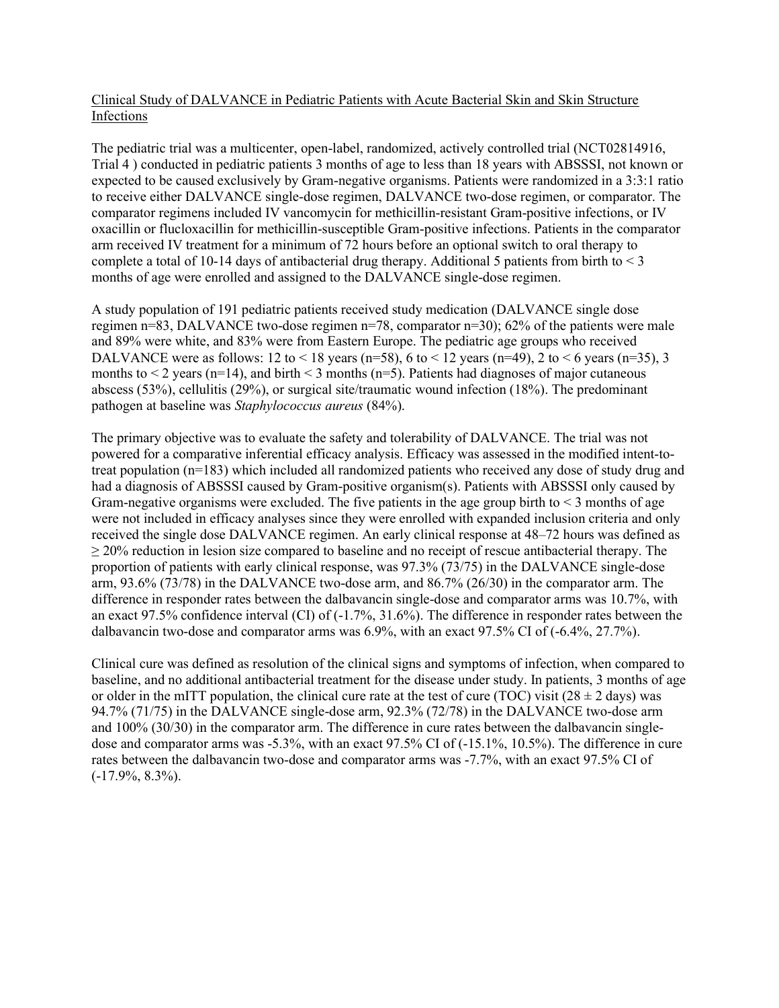# Clinical Study of DALVANCE in Pediatric Patients with Acute Bacterial Skin and Skin Structure Infections

The pediatric trial was a multicenter, open-label, randomized, actively controlled trial (NCT02814916, Trial 4 ) conducted in pediatric patients 3 months of age to less than 18 years with ABSSSI, not known or expected to be caused exclusively by Gram-negative organisms. Patients were randomized in a 3:3:1 ratio to receive either DALVANCE single-dose regimen, DALVANCE two-dose regimen, or comparator. The comparator regimens included IV vancomycin for methicillin-resistant Gram-positive infections, or IV oxacillin or flucloxacillin for methicillin-susceptible Gram-positive infections. Patients in the comparator arm received IV treatment for a minimum of 72 hours before an optional switch to oral therapy to complete a total of 10-14 days of antibacterial drug therapy. Additional 5 patients from birth to  $\leq$  3 months of age were enrolled and assigned to the DALVANCE single-dose regimen.

A study population of 191 pediatric patients received study medication (DALVANCE single dose regimen n=83, DALVANCE two-dose regimen n=78, comparator n=30); 62% of the patients were male and 89% were white, and 83% were from Eastern Europe. The pediatric age groups who received DALVANCE were as follows: 12 to < 18 years (n=58), 6 to < 12 years (n=49), 2 to < 6 years (n=35), 3 months to  $\leq 2$  years (n=14), and birth  $\leq 3$  months (n=5). Patients had diagnoses of major cutaneous abscess (53%), cellulitis (29%), or surgical site/traumatic wound infection (18%). The predominant pathogen at baseline was Staphylococcus aureus (84%).

The primary objective was to evaluate the safety and tolerability of DALVANCE. The trial was not powered for a comparative inferential efficacy analysis. Efficacy was assessed in the modified intent-totreat population  $(n=183)$  which included all randomized patients who received any dose of study drug and had a diagnosis of ABSSSI caused by Gram-positive organism(s). Patients with ABSSSI only caused by Gram-negative organisms were excluded. The five patients in the age group birth to < 3 months of age were not included in efficacy analyses since they were enrolled with expanded inclusion criteria and only received the single dose DALVANCE regimen. An early clinical response at 48–72 hours was defined as  $\geq$  20% reduction in lesion size compared to baseline and no receipt of rescue antibacterial therapy. The proportion of patients with early clinical response, was 97.3% (73/75) in the DALVANCE single-dose arm, 93.6% (73/78) in the DALVANCE two-dose arm, and 86.7% (26/30) in the comparator arm. The difference in responder rates between the dalbavancin single-dose and comparator arms was 10.7%, with an exact 97.5% confidence interval (CI) of (-1.7%, 31.6%). The difference in responder rates between the dalbavancin two-dose and comparator arms was 6.9%, with an exact 97.5% CI of (-6.4%, 27.7%).

Clinical cure was defined as resolution of the clinical signs and symptoms of infection, when compared to baseline, and no additional antibacterial treatment for the disease under study. In patients, 3 months of age or older in the mITT population, the clinical cure rate at the test of cure (TOC) visit (28  $\pm$  2 days) was 94.7% (71/75) in the DALVANCE single-dose arm, 92.3% (72/78) in the DALVANCE two-dose arm and 100% (30/30) in the comparator arm. The difference in cure rates between the dalbavancin singledose and comparator arms was -5.3%, with an exact 97.5% CI of (-15.1%, 10.5%). The difference in cure rates between the dalbavancin two-dose and comparator arms was -7.7%, with an exact 97.5% CI of (-17.9%, 8.3%).